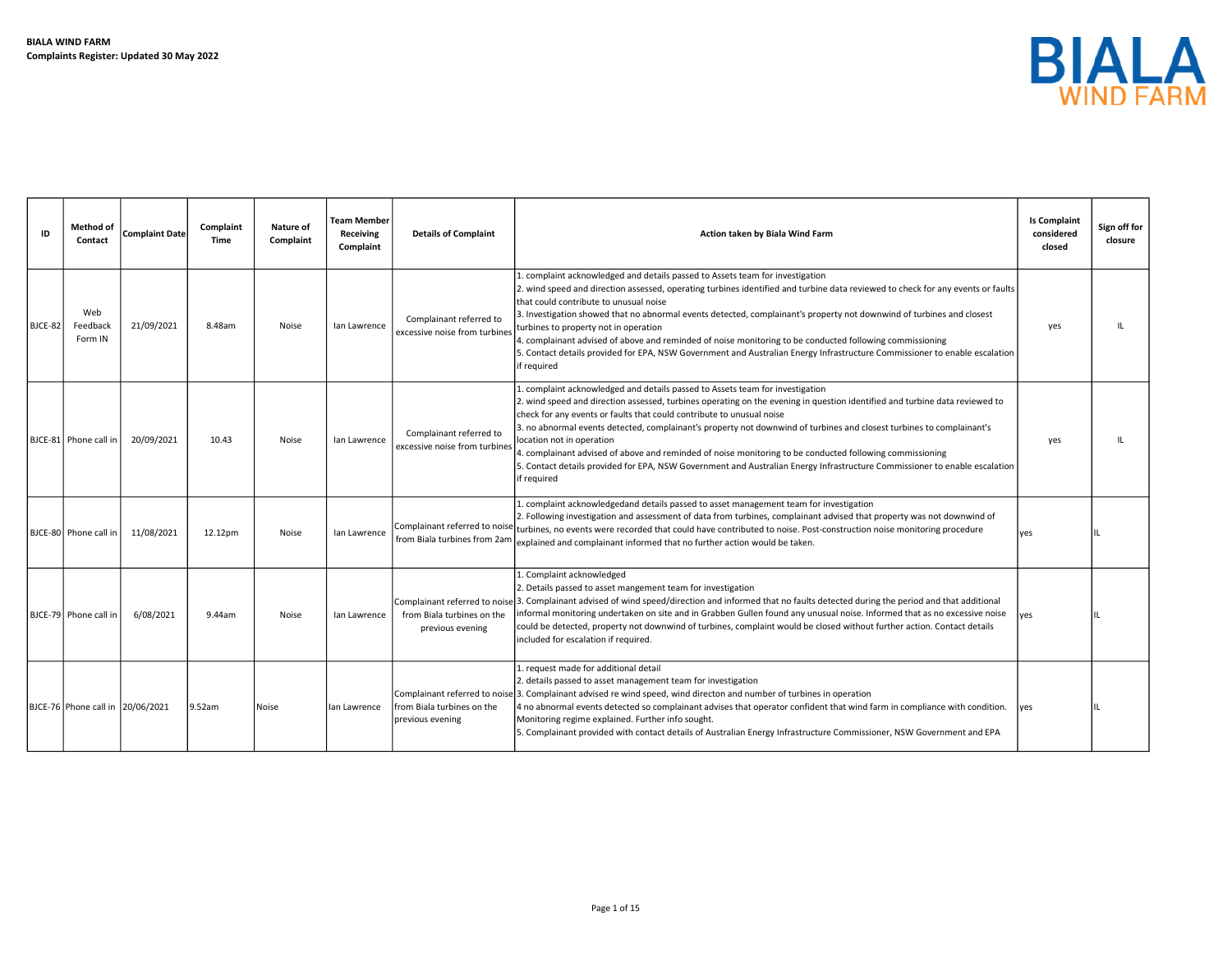

| ID      | Method of<br>Contact              | <b>Complaint Date</b> | Complaint<br>Time | Nature of<br>Complaint | <b>Team Member</b><br>Receiving<br>Complaint | <b>Details of Complaint</b>                              | Action taken by Biala Wind Farm                                                                                                                                                                                                                                                                                                                                                                                                                                                                                                                                                                                                                                                                      | <b>Is Complaint</b><br>considered<br>closed | Sign off for<br>closure |
|---------|-----------------------------------|-----------------------|-------------------|------------------------|----------------------------------------------|----------------------------------------------------------|------------------------------------------------------------------------------------------------------------------------------------------------------------------------------------------------------------------------------------------------------------------------------------------------------------------------------------------------------------------------------------------------------------------------------------------------------------------------------------------------------------------------------------------------------------------------------------------------------------------------------------------------------------------------------------------------------|---------------------------------------------|-------------------------|
| BJCE-82 | Web<br>Feedback<br>Form IN        | 21/09/2021            | 8.48am            | Noise                  | lan Lawrence                                 | Complainant referred to<br>excessive noise from turbines | . complaint acknowledged and details passed to Assets team for investigation<br>. wind speed and direction assessed, operating turbines identified and turbine data reviewed to check for any events or faults<br>that could contribute to unusual noise<br>3. Investigation showed that no abnormal events detected, complainant's property not downwind of turbines and closest<br>turbines to property not in operation<br>4. complainant advised of above and reminded of noise monitoring to be conducted following commissioning<br>5. Contact details provided for EPA, NSW Government and Australian Energy Infrastructure Commissioner to enable escalation<br>if required                  | yes                                         |                         |
|         | BJCE-81 Phone call in             | 20/09/2021            | 10.43             | Noise                  | lan Lawrence                                 | Complainant referred to<br>excessive noise from turbines | 1. complaint acknowledged and details passed to Assets team for investigation<br>2. wind speed and direction assessed, turbines operating on the evening in question identified and turbine data reviewed to<br>check for any events or faults that could contribute to unusual noise<br>3. no abnormal events detected, complainant's property not downwind of turbines and closest turbines to complainant's<br>location not in operation<br>4. complainant advised of above and reminded of noise monitoring to be conducted following commissioning<br>5. Contact details provided for EPA, NSW Government and Australian Energy Infrastructure Commissioner to enable escalation<br>if required | yes                                         |                         |
|         | BJCE-80 Phone call in             | 11/08/2021            | 12.12pm           | Noise                  | lan Lawrence                                 | from Biala turbines from 2am                             | L. complaint acknowledgedand details passed to asset management team for investigation<br>2. Following investigation and assessment of data from turbines, complainant advised that property was not downwind of<br>$ $ Complainant referred to noise $ $ turbines, no events were recorded that could have contributed to noise. Post-construction noise monitoring procedure<br>explained and complainant informed that no further action would be taken.                                                                                                                                                                                                                                          | ves                                         |                         |
|         | BJCE-79 Phone call in             | 6/08/2021             | 9.44am            | Noise                  | lan Lawrence                                 | from Biala turbines on the<br>previous evening           | L. Complaint acknowledged<br>2. Details passed to asset mangement team for investigation<br>Complainant referred to noise 3. Complainant advised of wind speed/direction and informed that no faults detected during the period and that additional<br>informal monitoring undertaken on site and in Grabben Gullen found any unusual noise. Informed that as no excessive noise<br>could be detected, property not downwind of turbines, complaint would be closed without further action. Contact details<br>included for escalation if required.                                                                                                                                                  | <b>lves</b>                                 |                         |
|         | BJCE-76 Phone call in  20/06/2021 |                       | 9.52am            | Noise                  | lan Lawrence                                 | from Biala turbines on the<br>previous evening           | 1. request made for additional detail<br>2. details passed to asset management team for investigation<br>Complainant referred to noise 3. Complainant advised re wind speed, wind directon and number of turbines in operation<br>4 no abnormal events detected so complainant advises that operator confident that wind farm in compliance with condition.<br>Monitoring regime explained. Further info sought.<br>5. Complainant provided with contact details of Australian Energy Infrastructure Commissioner, NSW Government and EPA                                                                                                                                                            | <b>lves</b>                                 |                         |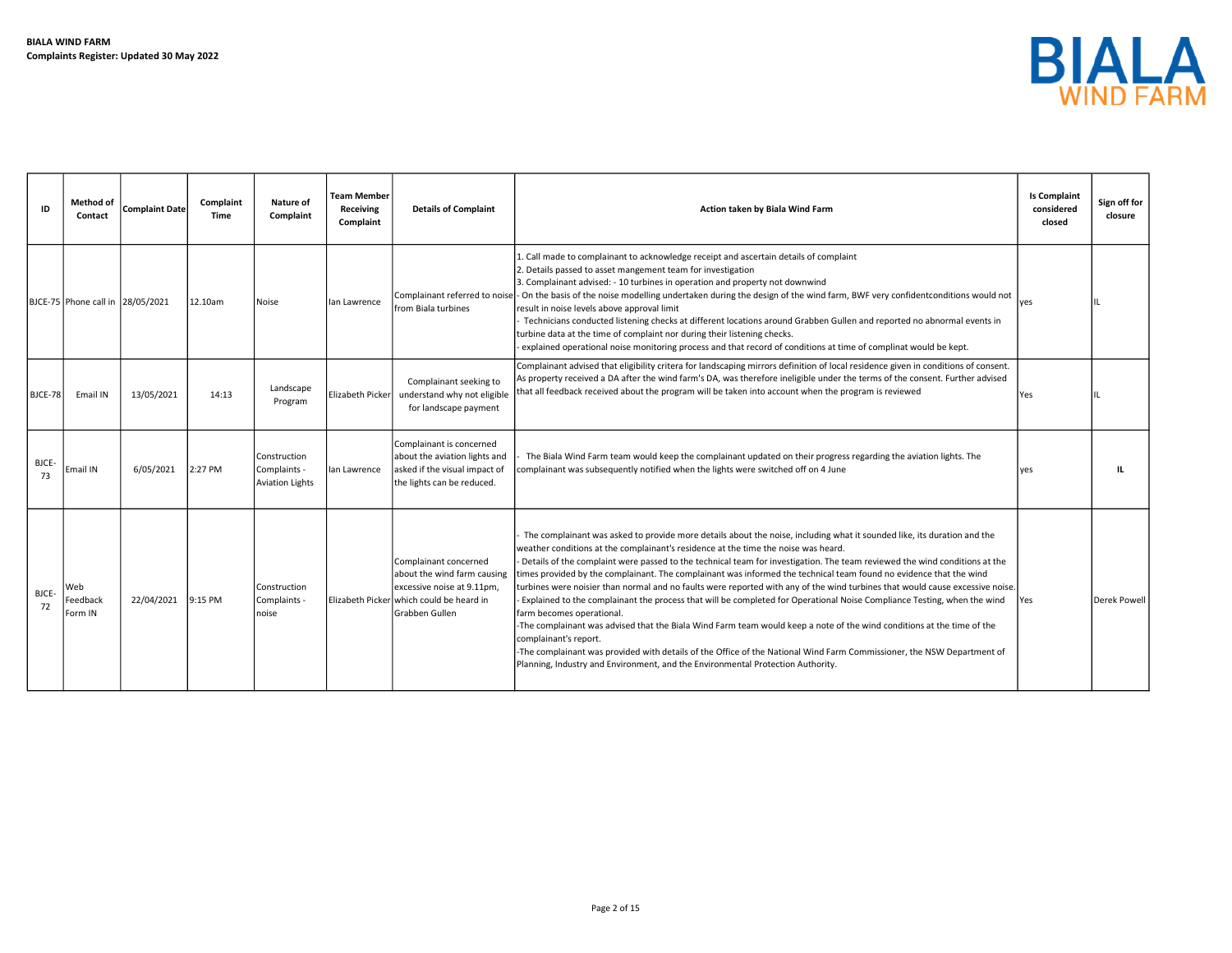

| ID             | <b>Method of</b><br>Contact      | <b>Complaint Date</b> | Complaint<br>Time | Nature of<br>Complaint                                 | <b>Team Member</b><br>Receiving<br>Complaint | <b>Details of Complaint</b>                                                                                                                      | Action taken by Biala Wind Farm                                                                                                                                                                                                                                                                                                                                                                                                                                                                                                                                                                                                                                                                                                                                                                                                                                                                                                                                                                                                                                                                                            | <b>Is Complaint</b><br>considered<br>closed | Sign off for<br>closure |
|----------------|----------------------------------|-----------------------|-------------------|--------------------------------------------------------|----------------------------------------------|--------------------------------------------------------------------------------------------------------------------------------------------------|----------------------------------------------------------------------------------------------------------------------------------------------------------------------------------------------------------------------------------------------------------------------------------------------------------------------------------------------------------------------------------------------------------------------------------------------------------------------------------------------------------------------------------------------------------------------------------------------------------------------------------------------------------------------------------------------------------------------------------------------------------------------------------------------------------------------------------------------------------------------------------------------------------------------------------------------------------------------------------------------------------------------------------------------------------------------------------------------------------------------------|---------------------------------------------|-------------------------|
|                | BJCE-75 Phone call in 28/05/2021 |                       | 12.10am           | Noise                                                  | lan Lawrence                                 | irom Biala turbines                                                                                                                              | Call made to complainant to acknowledge receipt and ascertain details of complaint<br>2. Details passed to asset mangement team for investigation<br>3. Complainant advised: - 10 turbines in operation and property not downwind<br>Complainant referred to noise - On the basis of the noise modelling undertaken during the design of the wind farm, BWF very confidentconditions would not<br>result in noise levels above approval limit<br>Technicians conducted listening checks at different locations around Grabben Gullen and reported no abnormal events in<br>turbine data at the time of complaint nor during their listening checks.<br>explained operational noise monitoring process and that record of conditions at time of complinat would be kept.                                                                                                                                                                                                                                                                                                                                                    | Ives                                        |                         |
| <b>BJCE-78</b> | Email IN                         | 13/05/2021            | 14:13             | Landscape<br>Program                                   | Elizabeth Picker                             | Complainant seeking to<br>understand why not eligible<br>for landscape payment                                                                   | Complainant advised that eligibility critera for landscaping mirrors definition of local residence given in conditions of consent.<br>As property received a DA after the wind farm's DA, was therefore ineligible under the terms of the consent. Further advised<br>that all feedback received about the program will be taken into account when the program is reviewed                                                                                                                                                                                                                                                                                                                                                                                                                                                                                                                                                                                                                                                                                                                                                 | <b>Yes</b>                                  |                         |
| BJCE-<br>73    | Email IN                         | 6/05/2021             | 2:27 PM           | Construction<br>Complaints -<br><b>Aviation Lights</b> | lan Lawrence                                 | Complainant is concerned<br>about the aviation lights and<br>asked if the visual impact of<br>the lights can be reduced.                         | The Biala Wind Farm team would keep the complainant updated on their progress regarding the aviation lights. The<br>complainant was subsequently notified when the lights were switched off on 4 June                                                                                                                                                                                                                                                                                                                                                                                                                                                                                                                                                                                                                                                                                                                                                                                                                                                                                                                      | <b>lves</b>                                 | п.                      |
| BJCE-<br>72    | Neb<br>Feedback<br>Form IN       | 22/04/2021            | 9:15 PM           | Construction<br>Complaints -<br>noise                  |                                              | Complainant concerned<br>about the wind farm causing<br>excessive noise at 9.11pm,<br>Elizabeth Pickerlwhich could be heard in<br>Grabben Gullen | The complainant was asked to provide more details about the noise, including what it sounded like, its duration and the<br>weather conditions at the complainant's residence at the time the noise was heard.<br>Details of the complaint were passed to the technical team for investigation. The team reviewed the wind conditions at the<br>times provided by the complainant. The complainant was informed the technical team found no evidence that the wind<br>turbines were noisier than normal and no faults were reported with any of the wind turbines that would cause excessive noise.<br>Explained to the complainant the process that will be completed for Operational Noise Compliance Testing, when the wind<br>farm becomes operational.<br>-The complainant was advised that the Biala Wind Farm team would keep a note of the wind conditions at the time of the<br>complainant's report.<br>-The complainant was provided with details of the Office of the National Wind Farm Commissioner, the NSW Department of<br>Planning, Industry and Environment, and the Environmental Protection Authority. | <b>Yes</b>                                  | Derek Powell            |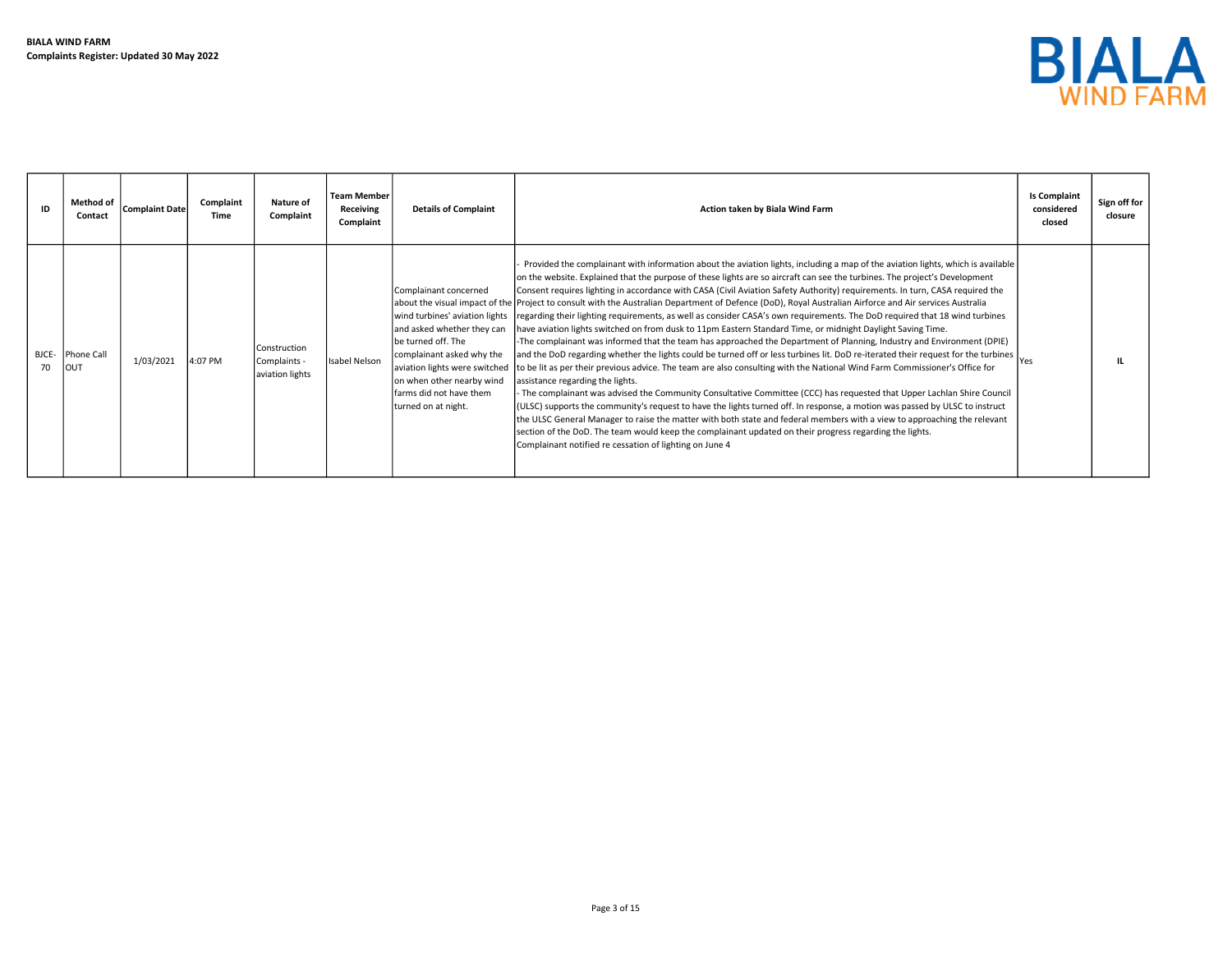

| ID          | Method of<br>Contact | Complaint Date | Complaint<br>Time | Nature of<br>Complaint                          | <b>Team Member</b><br>Receiving<br>Complaint | <b>Details of Complaint</b>                                                                                                                                                                                                                                                                | Action taken by Biala Wind Farm                                                                                                                                                                                                                                                                                                                                                                                                                                                                                                                                                                                                                                                                                                                                                                                                                                                                                                                                                                                                                                                                                                                                                                                                                                                                                                                                                                                                                                                                                                                                                                                                                                                                                                                                          | <b>Is Complaint</b><br>considered<br>closed | Sign off for<br>closure |
|-------------|----------------------|----------------|-------------------|-------------------------------------------------|----------------------------------------------|--------------------------------------------------------------------------------------------------------------------------------------------------------------------------------------------------------------------------------------------------------------------------------------------|--------------------------------------------------------------------------------------------------------------------------------------------------------------------------------------------------------------------------------------------------------------------------------------------------------------------------------------------------------------------------------------------------------------------------------------------------------------------------------------------------------------------------------------------------------------------------------------------------------------------------------------------------------------------------------------------------------------------------------------------------------------------------------------------------------------------------------------------------------------------------------------------------------------------------------------------------------------------------------------------------------------------------------------------------------------------------------------------------------------------------------------------------------------------------------------------------------------------------------------------------------------------------------------------------------------------------------------------------------------------------------------------------------------------------------------------------------------------------------------------------------------------------------------------------------------------------------------------------------------------------------------------------------------------------------------------------------------------------------------------------------------------------|---------------------------------------------|-------------------------|
| BJCE-<br>70 | Phone Call<br>Iout   | 1/03/2021      | 4:07 PM           | Construction<br>Complaints -<br>aviation lights | Isabel Nelson                                | Complainant concerned<br>about the visual impact of the<br>wind turbines' aviation lights<br>and asked whether they can<br>be turned off. The<br>complainant asked why the<br>aviation lights were switched<br>on when other nearby wind<br>farms did not have them<br>turned on at night. | Provided the complainant with information about the aviation lights, including a map of the aviation lights, which is available<br>on the website. Explained that the purpose of these lights are so aircraft can see the turbines. The project's Development<br>Consent requires lighting in accordance with CASA (Civil Aviation Safety Authority) requirements. In turn, CASA required the<br>Project to consult with the Australian Department of Defence (DoD), Royal Australian Airforce and Air services Australia<br>regarding their lighting requirements, as well as consider CASA's own requirements. The DoD required that 18 wind turbines<br>have aviation lights switched on from dusk to 11pm Eastern Standard Time, or midnight Daylight Saving Time.<br>-The complainant was informed that the team has approached the Department of Planning, Industry and Environment (DPIE)<br>and the DoD regarding whether the lights could be turned off or less turbines lit. DoD re-iterated their request for the turbines  Yes<br>to be lit as per their previous advice. The team are also consulting with the National Wind Farm Commissioner's Office for<br>assistance regarding the lights.<br>- The complainant was advised the Community Consultative Committee (CCC) has requested that Upper Lachlan Shire Council<br>(ULSC) supports the community's request to have the lights turned off. In response, a motion was passed by ULSC to instruct<br>the ULSC General Manager to raise the matter with both state and federal members with a view to approaching the relevant<br>section of the DoD. The team would keep the complainant updated on their progress regarding the lights.<br>Complainant notified re cessation of lighting on June 4 |                                             |                         |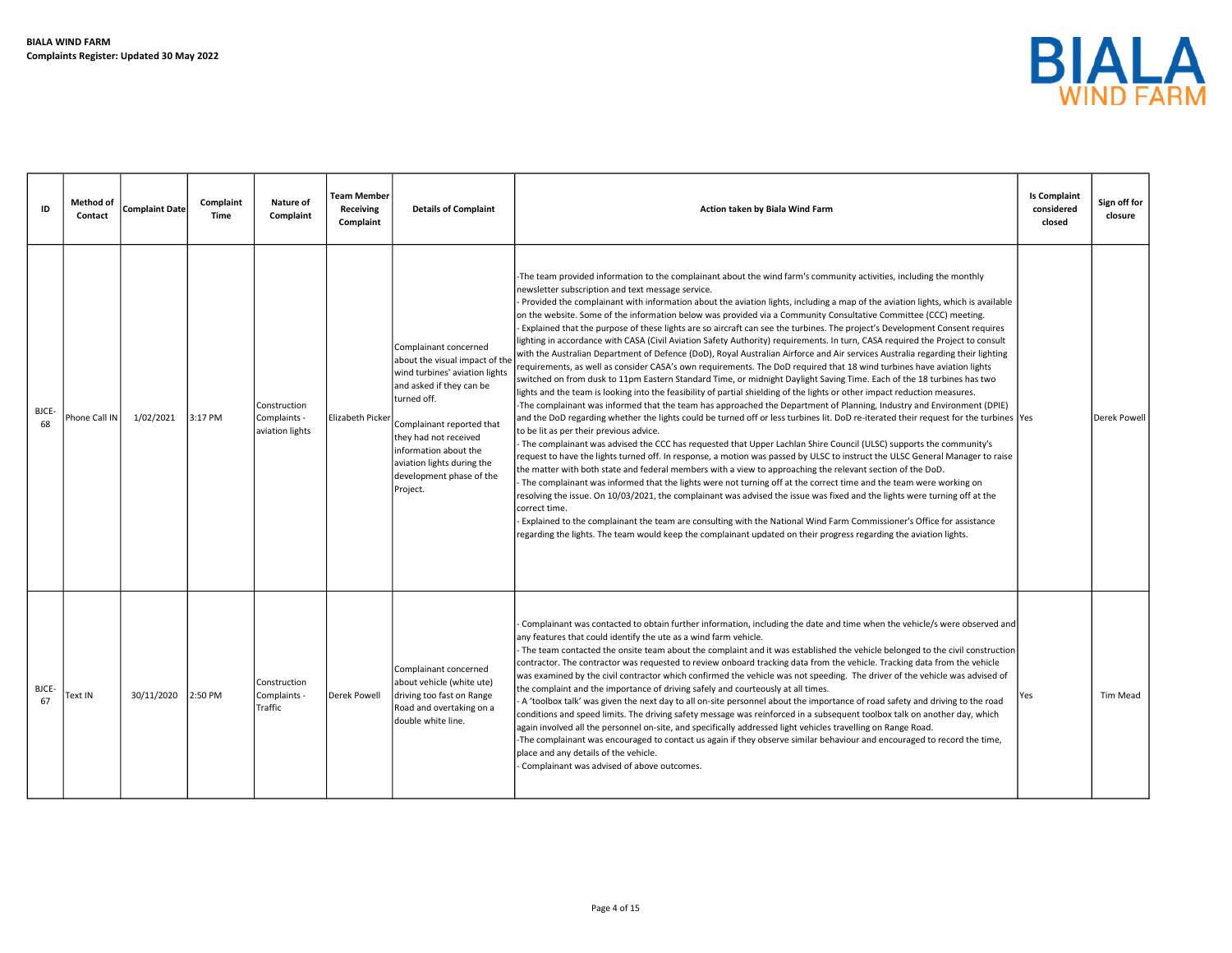

| ID          | <b>Method of</b><br>Contact | <b>Complaint Date</b> | Complaint<br>Time | Nature of<br>Complaint                          | <b>Team Member</b><br>Receiving<br>Complaint | <b>Details of Complaint</b>                                                                                                                                                                                                                                                               | Action taken by Biala Wind Farm                                                                                                                                                                                                                                                                                                                                                                                                                                                                                                                                                                                                                                                                                                                                                                                                                                                                                                                                                                                                                                                                                                                                                                                                                                                                                                                                                                                                                                                                                                                                                                                                                                                                                                                                                                                                                                                                                                                                                                                                                                                                                                                                                                                                                                                                                                                                                                                              | <b>Is Complaint</b><br>considered<br>closed | Sign off for<br>closure |
|-------------|-----------------------------|-----------------------|-------------------|-------------------------------------------------|----------------------------------------------|-------------------------------------------------------------------------------------------------------------------------------------------------------------------------------------------------------------------------------------------------------------------------------------------|------------------------------------------------------------------------------------------------------------------------------------------------------------------------------------------------------------------------------------------------------------------------------------------------------------------------------------------------------------------------------------------------------------------------------------------------------------------------------------------------------------------------------------------------------------------------------------------------------------------------------------------------------------------------------------------------------------------------------------------------------------------------------------------------------------------------------------------------------------------------------------------------------------------------------------------------------------------------------------------------------------------------------------------------------------------------------------------------------------------------------------------------------------------------------------------------------------------------------------------------------------------------------------------------------------------------------------------------------------------------------------------------------------------------------------------------------------------------------------------------------------------------------------------------------------------------------------------------------------------------------------------------------------------------------------------------------------------------------------------------------------------------------------------------------------------------------------------------------------------------------------------------------------------------------------------------------------------------------------------------------------------------------------------------------------------------------------------------------------------------------------------------------------------------------------------------------------------------------------------------------------------------------------------------------------------------------------------------------------------------------------------------------------------------------|---------------------------------------------|-------------------------|
| BJCE-<br>68 | Phone Call IN               | 1/02/2021             | 3:17 PM           | Construction<br>Complaints -<br>aviation lights | Elizabeth Picker                             | Complainant concerned<br>about the visual impact of the<br>wind turbines' aviation lights<br>and asked if they can be<br>turned off.<br>Complainant reported that<br>they had not received<br>information about the<br>aviation lights during the<br>development phase of the<br>Project. | -The team provided information to the complainant about the wind farm's community activities, including the monthly<br>newsletter subscription and text message service.<br>Provided the complainant with information about the aviation lights, including a map of the aviation lights, which is available<br>on the website. Some of the information below was provided via a Community Consultative Committee (CCC) meeting.<br>Explained that the purpose of these lights are so aircraft can see the turbines. The project's Development Consent requires<br>lighting in accordance with CASA (Civil Aviation Safety Authority) requirements. In turn, CASA required the Project to consult<br>with the Australian Department of Defence (DoD), Royal Australian Airforce and Air services Australia regarding their lighting<br>requirements, as well as consider CASA's own requirements. The DoD required that 18 wind turbines have aviation lights<br>switched on from dusk to 11pm Eastern Standard Time, or midnight Daylight Saving Time. Each of the 18 turbines has two<br>lights and the team is looking into the feasibility of partial shielding of the lights or other impact reduction measures.<br>-The complainant was informed that the team has approached the Department of Planning, Industry and Environment (DPIE)<br>and the DoD regarding whether the lights could be turned off or less turbines lit. DoD re-iterated their request for the turbines  Yes<br>to be lit as per their previous advice.<br>The complainant was advised the CCC has requested that Upper Lachlan Shire Council (ULSC) supports the community's<br>request to have the lights turned off. In response, a motion was passed by ULSC to instruct the ULSC General Manager to raise<br>the matter with both state and federal members with a view to approaching the relevant section of the DoD.<br>The complainant was informed that the lights were not turning off at the correct time and the team were working on<br>resolving the issue. On 10/03/2021, the complainant was advised the issue was fixed and the lights were turning off at the<br>correct time.<br>Explained to the complainant the team are consulting with the National Wind Farm Commissioner's Office for assistance<br>regarding the lights. The team would keep the complainant updated on their progress regarding the aviation lights. |                                             | Derek Powell            |
| BJCE-<br>67 | <b>Text IN</b>              | 30/11/2020            | 2:50 PM           | Construction<br>Complaints -<br>Traffic         | Derek Powell                                 | Complainant concerned<br>about vehicle (white ute)<br>driving too fast on Range<br>Road and overtaking on a<br>double white line.                                                                                                                                                         | Complainant was contacted to obtain further information, including the date and time when the vehicle/s were observed and<br>any features that could identify the ute as a wind farm vehicle.<br>- The team contacted the onsite team about the complaint and it was established the vehicle belonged to the civil construction<br>contractor. The contractor was requested to review onboard tracking data from the vehicle. Tracking data from the vehicle<br>was examined by the civil contractor which confirmed the vehicle was not speeding. The driver of the vehicle was advised of<br>the complaint and the importance of driving safely and courteously at all times.<br>A 'toolbox talk' was given the next day to all on-site personnel about the importance of road safety and driving to the road<br>conditions and speed limits. The driving safety message was reinforced in a subsequent toolbox talk on another day, which<br>again involved all the personnel on-site, and specifically addressed light vehicles travelling on Range Road.<br>-The complainant was encouraged to contact us again if they observe similar behaviour and encouraged to record the time,<br>place and any details of the vehicle.<br>Complainant was advised of above outcomes.                                                                                                                                                                                                                                                                                                                                                                                                                                                                                                                                                                                                                                                                                                                                                                                                                                                                                                                                                                                                                                                                                                                                             | Yes                                         | Tim Mead                |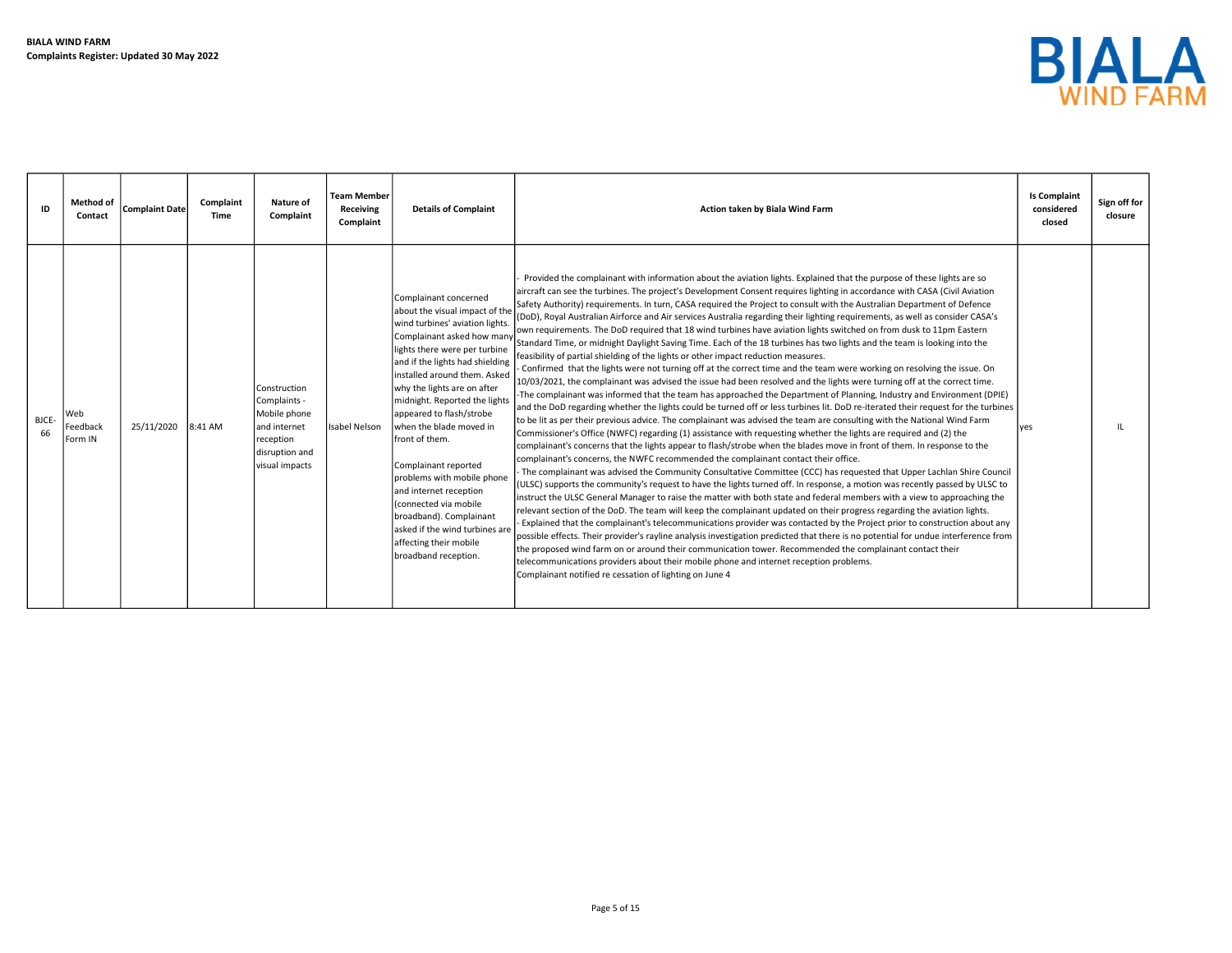

| ID          | Method of<br>Contact       | <b>Complaint Date</b> | Complaint<br>Time | Nature of<br>Complaint                                                                                         | <b>Team Member</b><br>Receiving<br>Complaint | <b>Details of Complaint</b>                                                                                                                                                                                                                                                                                                                                                                                                                                                                                                                                                                  | Action taken by Biala Wind Farm                                                                                                                                                                                                                                                                                                                                                                                                                                                                                                                                                                                                                                                                                                                                                                                                                                                                                                                                                                                                                                                                                                                                                                                                                                                                                                                                                                                                                                                                                                                                                                                                                                                                                                                                                                                                                                                                                                                                                                                                                                                                                                                                                                                                                                                                                                                                                                                                                                                                                                                                                                                                                                                                                                                                                                                                                                                                     | <b>Is Complaint</b><br>considered<br>closed | Sign off for<br>closure |
|-------------|----------------------------|-----------------------|-------------------|----------------------------------------------------------------------------------------------------------------|----------------------------------------------|----------------------------------------------------------------------------------------------------------------------------------------------------------------------------------------------------------------------------------------------------------------------------------------------------------------------------------------------------------------------------------------------------------------------------------------------------------------------------------------------------------------------------------------------------------------------------------------------|-----------------------------------------------------------------------------------------------------------------------------------------------------------------------------------------------------------------------------------------------------------------------------------------------------------------------------------------------------------------------------------------------------------------------------------------------------------------------------------------------------------------------------------------------------------------------------------------------------------------------------------------------------------------------------------------------------------------------------------------------------------------------------------------------------------------------------------------------------------------------------------------------------------------------------------------------------------------------------------------------------------------------------------------------------------------------------------------------------------------------------------------------------------------------------------------------------------------------------------------------------------------------------------------------------------------------------------------------------------------------------------------------------------------------------------------------------------------------------------------------------------------------------------------------------------------------------------------------------------------------------------------------------------------------------------------------------------------------------------------------------------------------------------------------------------------------------------------------------------------------------------------------------------------------------------------------------------------------------------------------------------------------------------------------------------------------------------------------------------------------------------------------------------------------------------------------------------------------------------------------------------------------------------------------------------------------------------------------------------------------------------------------------------------------------------------------------------------------------------------------------------------------------------------------------------------------------------------------------------------------------------------------------------------------------------------------------------------------------------------------------------------------------------------------------------------------------------------------------------------------------------------------------|---------------------------------------------|-------------------------|
| BJCE-<br>66 | Neb<br>Feedback<br>Form IN | 25/11/2020            | 8:41 AM           | Construction<br>Complaints -<br>Mobile phone<br>land internet<br>reception<br>disruption and<br>visual impacts | Isabel Nelson                                | Complainant concerned<br>about the visual impact of the<br>wind turbines' aviation lights.<br>Complainant asked how many<br>lights there were per turbine<br>and if the lights had shielding<br>installed around them. Asked<br>why the lights are on after<br>midnight. Reported the lights<br>appeared to flash/strobe<br>when the blade moved in<br>front of them.<br>Complainant reported<br>problems with mobile phone<br>and internet reception<br>Connected via mobile<br>broadband). Complainant<br>asked if the wind turbines are<br>affecting their mobile<br>broadband reception. | Provided the complainant with information about the aviation lights. Explained that the purpose of these lights are so<br>aircraft can see the turbines. The project's Development Consent requires lighting in accordance with CASA (Civil Aviation<br>Safety Authority) requirements. In turn, CASA required the Project to consult with the Australian Department of Defence<br>(DoD), Royal Australian Airforce and Air services Australia regarding their lighting requirements, as well as consider CASA's<br>own requirements. The DoD required that 18 wind turbines have aviation lights switched on from dusk to 11pm Eastern<br>Standard Time, or midnight Daylight Saving Time. Each of the 18 turbines has two lights and the team is looking into the<br>feasibility of partial shielding of the lights or other impact reduction measures.<br>Confirmed that the lights were not turning off at the correct time and the team were working on resolving the issue. On<br>10/03/2021, the complainant was advised the issue had been resolved and the lights were turning off at the correct time.<br>The complainant was informed that the team has approached the Department of Planning, Industry and Environment (DPIE)<br>and the DoD regarding whether the lights could be turned off or less turbines lit. DoD re-iterated their request for the turbines<br>to be lit as per their previous advice. The complainant was advised the team are consulting with the National Wind Farm<br>Commissioner's Office (NWFC) regarding (1) assistance with requesting whether the lights are required and (2) the<br>complainant's concerns that the lights appear to flash/strobe when the blades move in front of them. In response to the<br>complainant's concerns, the NWFC recommended the complainant contact their office.<br>The complainant was advised the Community Consultative Committee (CCC) has requested that Upper Lachlan Shire Council<br>(ULSC) supports the community's request to have the lights turned off. In response, a motion was recently passed by ULSC to<br>instruct the ULSC General Manager to raise the matter with both state and federal members with a view to approaching the<br>relevant section of the DoD. The team will keep the complainant updated on their progress regarding the aviation lights.<br>Explained that the complainant's telecommunications provider was contacted by the Project prior to construction about any<br>possible effects. Their provider's rayline analysis investigation predicted that there is no potential for undue interference from<br>the proposed wind farm on or around their communication tower. Recommended the complainant contact their<br>telecommunications providers about their mobile phone and internet reception problems.<br>Complainant notified re cessation of lighting on June 4 | ves                                         |                         |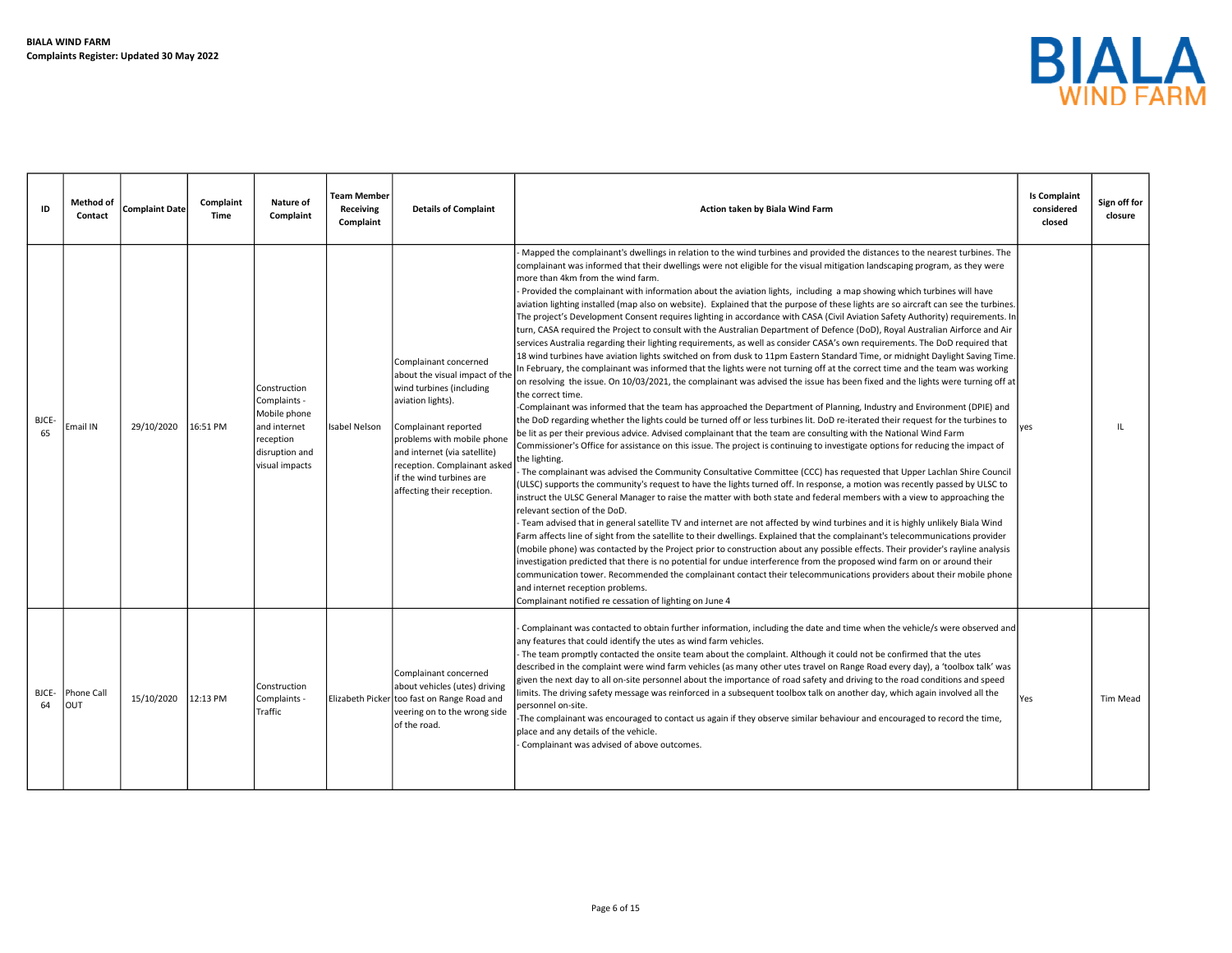

| ID          | Method of<br>Contact | <b>Complaint Date</b> | Complaint<br>Time | Nature of<br>Complaint                                                                                        | Team Member<br>Receiving<br>Complaint | <b>Details of Complaint</b>                                                                                                                                                                                                                                                              | Action taken by Biala Wind Farm                                                                                                                                                                                                                                                                                                                                                                                                                                                                                                                                                                                                                                                                                                                                                                                                                                                                                                                                                                                                                                                                                                                                                                                                                                                                                                                                                                                                                                                                                                                                                                                                                                                                                                                                                                                                                                                                                                                                                                                                                                                                                                                                                                                                                                                                                                                                                                                                                                                                                                                                                                                                                                                                                                                                                                                                                                                                                                                                                                                                                                                                                | <b>Is Complaint</b><br>considered<br>closed | Sign off for<br>closure |
|-------------|----------------------|-----------------------|-------------------|---------------------------------------------------------------------------------------------------------------|---------------------------------------|------------------------------------------------------------------------------------------------------------------------------------------------------------------------------------------------------------------------------------------------------------------------------------------|----------------------------------------------------------------------------------------------------------------------------------------------------------------------------------------------------------------------------------------------------------------------------------------------------------------------------------------------------------------------------------------------------------------------------------------------------------------------------------------------------------------------------------------------------------------------------------------------------------------------------------------------------------------------------------------------------------------------------------------------------------------------------------------------------------------------------------------------------------------------------------------------------------------------------------------------------------------------------------------------------------------------------------------------------------------------------------------------------------------------------------------------------------------------------------------------------------------------------------------------------------------------------------------------------------------------------------------------------------------------------------------------------------------------------------------------------------------------------------------------------------------------------------------------------------------------------------------------------------------------------------------------------------------------------------------------------------------------------------------------------------------------------------------------------------------------------------------------------------------------------------------------------------------------------------------------------------------------------------------------------------------------------------------------------------------------------------------------------------------------------------------------------------------------------------------------------------------------------------------------------------------------------------------------------------------------------------------------------------------------------------------------------------------------------------------------------------------------------------------------------------------------------------------------------------------------------------------------------------------------------------------------------------------------------------------------------------------------------------------------------------------------------------------------------------------------------------------------------------------------------------------------------------------------------------------------------------------------------------------------------------------------------------------------------------------------------------------------------------------|---------------------------------------------|-------------------------|
| BJCE-<br>65 | Email IN             | 29/10/2020            | 16:51 PM          | Construction<br>Complaints -<br>Mobile phone<br>and internet<br>reception<br>disruption and<br>visual impacts | Isabel Nelson                         | Complainant concerned<br>about the visual impact of the<br>wind turbines (including<br>aviation lights).<br>Complainant reported<br>problems with mobile phone<br>and internet (via satellite)<br>reception. Complainant asked<br>if the wind turbines are<br>affecting their reception. | Mapped the complainant's dwellings in relation to the wind turbines and provided the distances to the nearest turbines. The<br>complainant was informed that their dwellings were not eligible for the visual mitigation landscaping program, as they were<br>more than 4km from the wind farm.<br>Provided the complainant with information about the aviation lights, including a map showing which turbines will have<br>aviation lighting installed (map also on website). Explained that the purpose of these lights are so aircraft can see the turbines.<br>The project's Development Consent requires lighting in accordance with CASA (Civil Aviation Safety Authority) requirements. In<br>turn, CASA required the Project to consult with the Australian Department of Defence (DoD), Royal Australian Airforce and Air<br>services Australia regarding their lighting requirements, as well as consider CASA's own requirements. The DoD required that<br>18 wind turbines have aviation lights switched on from dusk to 11pm Eastern Standard Time, or midnight Daylight Saving Time.<br>In February, the complainant was informed that the lights were not turning off at the correct time and the team was working<br>on resolving the issue. On 10/03/2021, the complainant was advised the issue has been fixed and the lights were turning off at<br>the correct time.<br>-Complainant was informed that the team has approached the Department of Planning, Industry and Environment (DPIE) and<br>the DoD regarding whether the lights could be turned off or less turbines lit. DoD re-iterated their request for the turbines to<br>be lit as per their previous advice. Advised complainant that the team are consulting with the National Wind Farm<br>Commissioner's Office for assistance on this issue. The project is continuing to investigate options for reducing the impact of<br>the lighting.<br>The complainant was advised the Community Consultative Committee (CCC) has requested that Upper Lachlan Shire Council<br>(ULSC) supports the community's request to have the lights turned off. In response, a motion was recently passed by ULSC to<br>instruct the ULSC General Manager to raise the matter with both state and federal members with a view to approaching the<br>relevant section of the DoD.<br>- Team advised that in general satellite TV and internet are not affected by wind turbines and it is highly unlikely Biala Wind<br>Farm affects line of sight from the satellite to their dwellings. Explained that the complainant's telecommunications provider<br>(mobile phone) was contacted by the Project prior to construction about any possible effects. Their provider's rayline analysis<br>investigation predicted that there is no potential for undue interference from the proposed wind farm on or around their<br>communication tower. Recommended the complainant contact their telecommunications providers about their mobile phone<br>and internet reception problems.<br>Complainant notified re cessation of lighting on June 4 | yes                                         | $_{\rm H}$              |
| BJCE-<br>64 | Phone Call<br>OUT    | 15/10/2020            | 12:13 PM          | Construction<br>Complaints -<br>Traffic                                                                       |                                       | Complainant concerned<br>about vehicles (utes) driving<br>Elizabeth Picker too fast on Range Road and<br>veering on to the wrong side<br>of the road.                                                                                                                                    | Complainant was contacted to obtain further information, including the date and time when the vehicle/s were observed and<br>any features that could identify the utes as wind farm vehicles.<br>- The team promptly contacted the onsite team about the complaint. Although it could not be confirmed that the utes<br>described in the complaint were wind farm vehicles (as many other utes travel on Range Road every day), a 'toolbox talk' was<br>given the next day to all on-site personnel about the importance of road safety and driving to the road conditions and speed<br>limits. The driving safety message was reinforced in a subsequent toolbox talk on another day, which again involved all the<br>personnel on-site.<br>The complainant was encouraged to contact us again if they observe similar behaviour and encouraged to record the time,<br>place and any details of the vehicle.<br>Complainant was advised of above outcomes.                                                                                                                                                                                                                                                                                                                                                                                                                                                                                                                                                                                                                                                                                                                                                                                                                                                                                                                                                                                                                                                                                                                                                                                                                                                                                                                                                                                                                                                                                                                                                                                                                                                                                                                                                                                                                                                                                                                                                                                                                                                                                                                                                    | Yes                                         | Tim Mead                |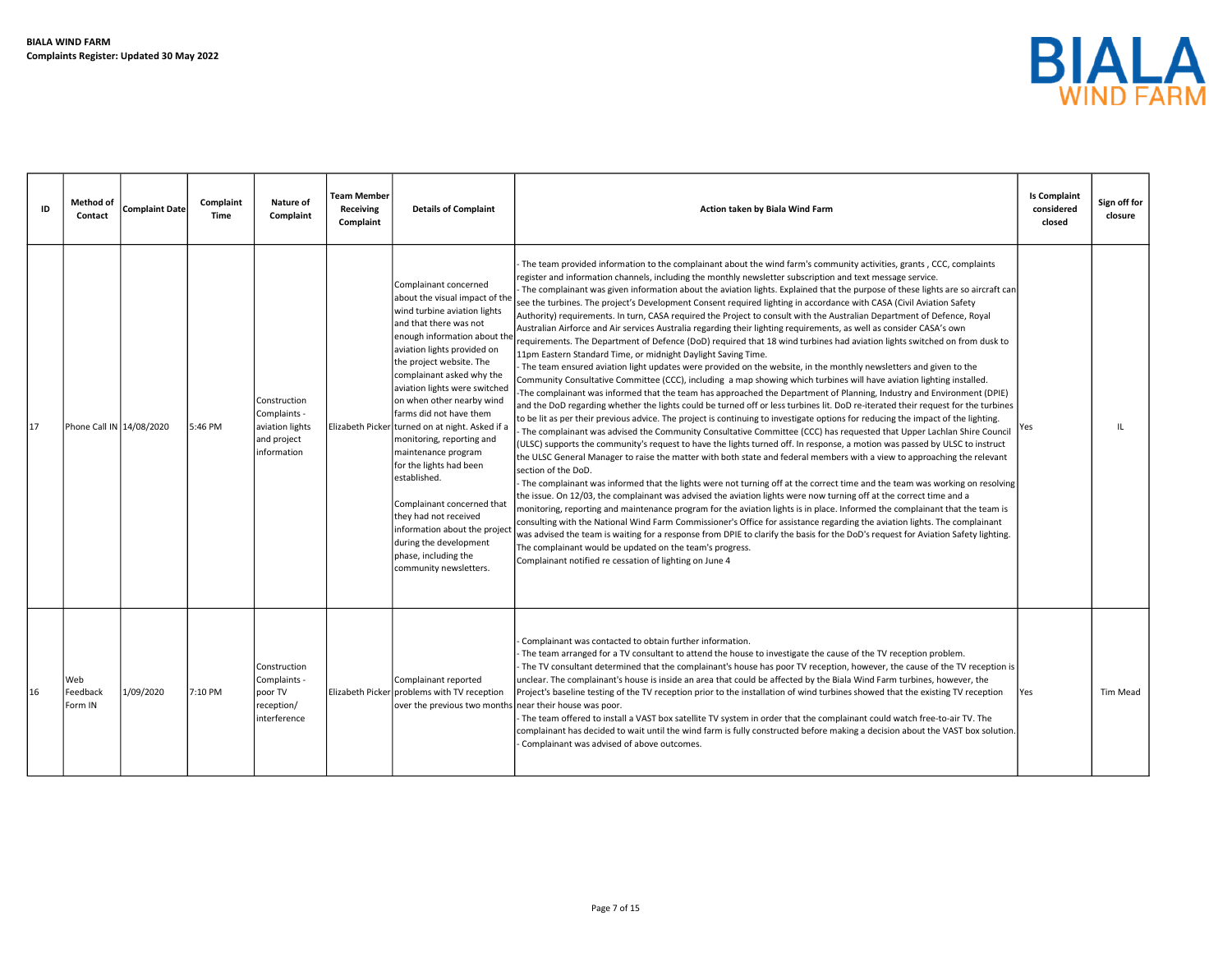

| ID | <b>Method of</b><br>Contact | <b>Complaint Date</b> | Complaint<br>Time | <b>Nature of</b><br>Complaint                                                 | Team Member<br>Receiving<br>Complaint | <b>Details of Complaint</b>                                                                                                                                                                                                                                                                                                                                                                                                                                                                                                                                                                                                                              | Action taken by Biala Wind Farm                                                                                                                                                                                                                                                                                                                                                                                                                                                                                                                                                                                                                                                                                                                                                                                                                                                                                                                                                                                                                                                                                                                                                                                                                                                                                                                                                                                                                                                                                                                                                                                                                                                                                                                                                                                                                                                                                                                                                                                                                                                                                                                                                                                                                                                                                                                                                                                                                                                                                                                                                                                                                                                                                                                                                            | <b>Is Complaint</b><br>considered<br>closed | Sign off for<br>closure |
|----|-----------------------------|-----------------------|-------------------|-------------------------------------------------------------------------------|---------------------------------------|----------------------------------------------------------------------------------------------------------------------------------------------------------------------------------------------------------------------------------------------------------------------------------------------------------------------------------------------------------------------------------------------------------------------------------------------------------------------------------------------------------------------------------------------------------------------------------------------------------------------------------------------------------|--------------------------------------------------------------------------------------------------------------------------------------------------------------------------------------------------------------------------------------------------------------------------------------------------------------------------------------------------------------------------------------------------------------------------------------------------------------------------------------------------------------------------------------------------------------------------------------------------------------------------------------------------------------------------------------------------------------------------------------------------------------------------------------------------------------------------------------------------------------------------------------------------------------------------------------------------------------------------------------------------------------------------------------------------------------------------------------------------------------------------------------------------------------------------------------------------------------------------------------------------------------------------------------------------------------------------------------------------------------------------------------------------------------------------------------------------------------------------------------------------------------------------------------------------------------------------------------------------------------------------------------------------------------------------------------------------------------------------------------------------------------------------------------------------------------------------------------------------------------------------------------------------------------------------------------------------------------------------------------------------------------------------------------------------------------------------------------------------------------------------------------------------------------------------------------------------------------------------------------------------------------------------------------------------------------------------------------------------------------------------------------------------------------------------------------------------------------------------------------------------------------------------------------------------------------------------------------------------------------------------------------------------------------------------------------------------------------------------------------------------------------------------------------------|---------------------------------------------|-------------------------|
| 17 | Phone Call IN 14/08/2020    |                       | 5:46 PM           | Construction<br>Complaints -<br>aviation lights<br>and project<br>information |                                       | Complainant concerned<br>about the visual impact of the<br>wind turbine aviation lights<br>and that there was not<br>enough information about the<br>aviation lights provided on<br>the project website. The<br>complainant asked why the<br>aviation lights were switched<br>on when other nearby wind<br>farms did not have them<br>Elizabeth Picker turned on at night. Asked if a<br>monitoring, reporting and<br>maintenance program<br>for the lights had been<br>established.<br>Complainant concerned that<br>they had not received<br>information about the project<br>during the development<br>phase, including the<br>community newsletters. | The team provided information to the complainant about the wind farm's community activities, grants, CCC, complaints<br>register and information channels, including the monthly newsletter subscription and text message service.<br>The complainant was given information about the aviation lights. Explained that the purpose of these lights are so aircraft can<br>see the turbines. The project's Development Consent required lighting in accordance with CASA (Civil Aviation Safety<br>Authority) requirements. In turn, CASA required the Project to consult with the Australian Department of Defence, Royal<br>Australian Airforce and Air services Australia regarding their lighting requirements, as well as consider CASA's own<br>requirements. The Department of Defence (DoD) required that 18 wind turbines had aviation lights switched on from dusk to<br>11pm Eastern Standard Time, or midnight Daylight Saving Time.<br>The team ensured aviation light updates were provided on the website, in the monthly newsletters and given to the<br>Community Consultative Committee (CCC), including a map showing which turbines will have aviation lighting installed.<br>The complainant was informed that the team has approached the Department of Planning, Industry and Environment (DPIE)<br>and the DoD regarding whether the lights could be turned off or less turbines lit. DoD re-iterated their request for the turbines<br>to be lit as per their previous advice. The project is continuing to investigate options for reducing the impact of the lighting.<br>The complainant was advised the Community Consultative Committee (CCC) has requested that Upper Lachlan Shire Council<br>(ULSC) supports the community's request to have the lights turned off. In response, a motion was passed by ULSC to instruct<br>the ULSC General Manager to raise the matter with both state and federal members with a view to approaching the relevant<br>section of the DoD.<br>The complainant was informed that the lights were not turning off at the correct time and the team was working on resolving<br>the issue. On 12/03, the complainant was advised the aviation lights were now turning off at the correct time and a<br>monitoring, reporting and maintenance program for the aviation lights is in place. Informed the complainant that the team is<br>consulting with the National Wind Farm Commissioner's Office for assistance regarding the aviation lights. The complainant<br>was advised the team is waiting for a response from DPIE to clarify the basis for the DoD's request for Aviation Safety lighting.<br>The complainant would be updated on the team's progress.<br>Complainant notified re cessation of lighting on June 4 | Yes                                         | IL                      |
| 16 | Web<br>Feedback<br>Form IN  | 1/09/2020             | 7:10 PM           | Construction<br>Complaints -<br>poor TV<br>reception/<br>interference         |                                       | Complainant reported<br>Elizabeth Picker problems with TV reception<br>over the previous two months                                                                                                                                                                                                                                                                                                                                                                                                                                                                                                                                                      | Complainant was contacted to obtain further information.<br>The team arranged for a TV consultant to attend the house to investigate the cause of the TV reception problem.<br>The TV consultant determined that the complainant's house has poor TV reception, however, the cause of the TV reception is<br>unclear. The complainant's house is inside an area that could be affected by the Biala Wind Farm turbines, however, the<br>Project's baseline testing of the TV reception prior to the installation of wind turbines showed that the existing TV reception<br>near their house was poor.<br>The team offered to install a VAST box satellite TV system in order that the complainant could watch free-to-air TV. The<br>complainant has decided to wait until the wind farm is fully constructed before making a decision about the VAST box solution.<br>Complainant was advised of above outcomes.                                                                                                                                                                                                                                                                                                                                                                                                                                                                                                                                                                                                                                                                                                                                                                                                                                                                                                                                                                                                                                                                                                                                                                                                                                                                                                                                                                                                                                                                                                                                                                                                                                                                                                                                                                                                                                                                          | Yes                                         | Tim Mead                |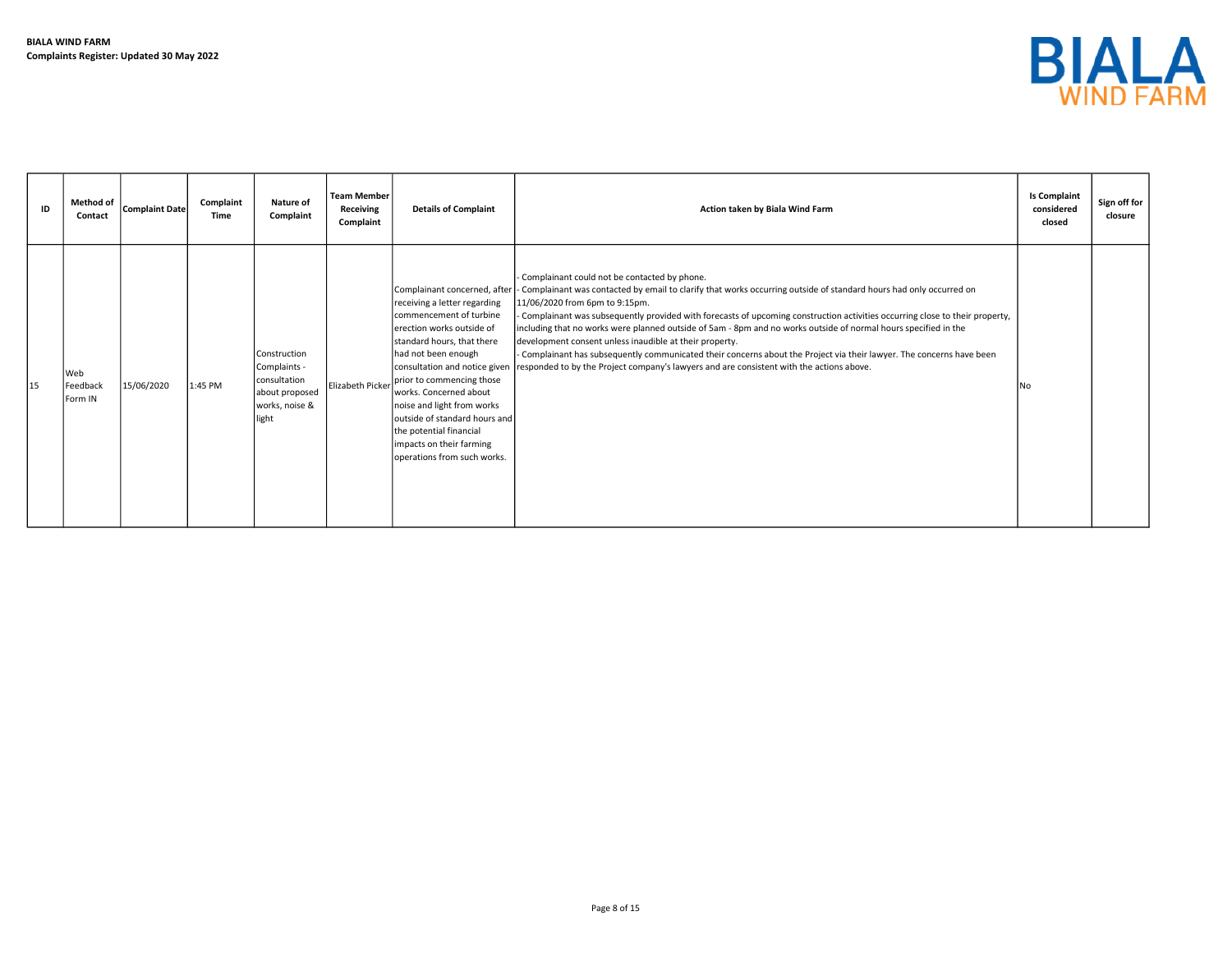

| ID | <b>Method of</b><br>Contact | Complaint Date | Complaint<br>Time | Nature of<br>Complaint                                                                           | <b>Team Member</b><br>Receiving<br>Complaint | <b>Details of Complaint</b>                                                                                                                                                                                                                                                                                                                                                                                                | Action taken by Biala Wind Farm                                                                                                                                                                                                                                                                                                                                                                                                                                                                                                                                                                                                                                                                                                         | <b>Is Complaint</b><br>considered<br>closed | Sign off for<br>closure |
|----|-----------------------------|----------------|-------------------|--------------------------------------------------------------------------------------------------|----------------------------------------------|----------------------------------------------------------------------------------------------------------------------------------------------------------------------------------------------------------------------------------------------------------------------------------------------------------------------------------------------------------------------------------------------------------------------------|-----------------------------------------------------------------------------------------------------------------------------------------------------------------------------------------------------------------------------------------------------------------------------------------------------------------------------------------------------------------------------------------------------------------------------------------------------------------------------------------------------------------------------------------------------------------------------------------------------------------------------------------------------------------------------------------------------------------------------------------|---------------------------------------------|-------------------------|
| 15 | Web<br>Feedback<br>Form IN  | 15/06/2020     | 1:45 PM           | <b>Construction</b><br>Complaints -<br>consultation<br>about proposed<br>works, noise &<br>light | Elizabeth Picker                             | Complainant concerned, after<br>receiving a letter regarding<br>commencement of turbine<br>lerection works outside of<br>standard hours, that there<br>had not been enough<br>consultation and notice given<br>prior to commencing those<br>works. Concerned about<br>noise and light from works<br>loutside of standard hours and l<br>the potential financial<br>impacts on their farming<br>operations from such works. | Complainant could not be contacted by phone.<br>- Complainant was contacted by email to clarify that works occurring outside of standard hours had only occurred on<br>11/06/2020 from 6pm to 9:15pm.<br>Complainant was subsequently provided with forecasts of upcoming construction activities occurring close to their property,<br>including that no works were planned outside of 5am - 8pm and no works outside of normal hours specified in the<br>development consent unless inaudible at their property.<br>- Complainant has subsequently communicated their concerns about the Project via their lawyer. The concerns have been<br>responded to by the Project company's lawyers and are consistent with the actions above. | lNo                                         |                         |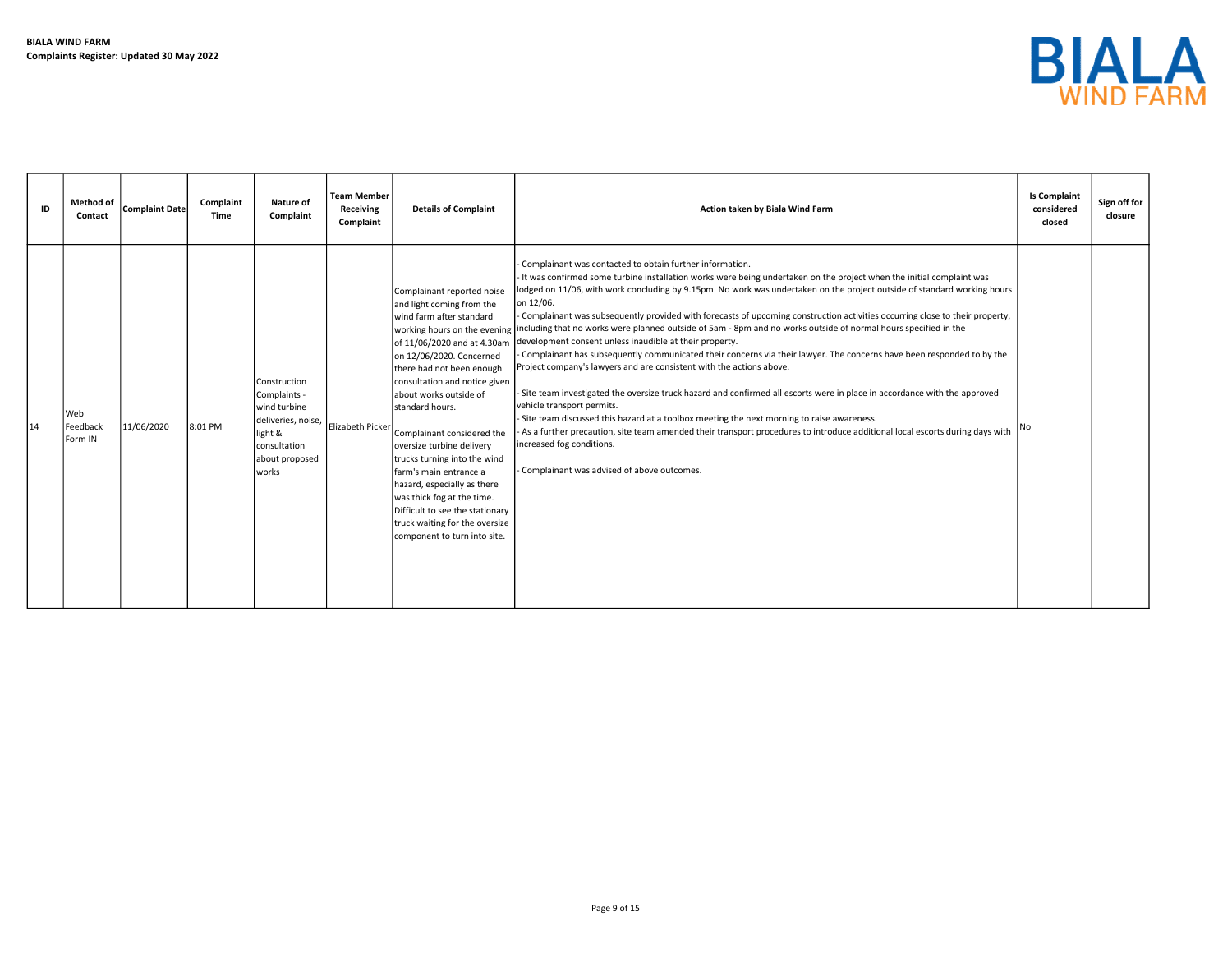

| ID | <b>Method of</b><br>Contact  | <b>Complaint Date</b> | Complaint<br>Time | Nature of<br>Complaint                                                                                                   | <b>Team Member</b><br>Receiving<br>Complaint | <b>Details of Complaint</b>                                                                                                                                                                                                                                                                                                                                                                                                                                                                                                                      | Action taken by Biala Wind Farm                                                                                                                                                                                                                                                                                                                                                                                                                                                                                                                                                                                                                                                                                                                                                                                                                                                                                                                                                                                                                                                                                                                                                                                                                                                                                                          | <b>Is Complaint</b><br>considered<br>closed | Sign off for<br>closure |
|----|------------------------------|-----------------------|-------------------|--------------------------------------------------------------------------------------------------------------------------|----------------------------------------------|--------------------------------------------------------------------------------------------------------------------------------------------------------------------------------------------------------------------------------------------------------------------------------------------------------------------------------------------------------------------------------------------------------------------------------------------------------------------------------------------------------------------------------------------------|------------------------------------------------------------------------------------------------------------------------------------------------------------------------------------------------------------------------------------------------------------------------------------------------------------------------------------------------------------------------------------------------------------------------------------------------------------------------------------------------------------------------------------------------------------------------------------------------------------------------------------------------------------------------------------------------------------------------------------------------------------------------------------------------------------------------------------------------------------------------------------------------------------------------------------------------------------------------------------------------------------------------------------------------------------------------------------------------------------------------------------------------------------------------------------------------------------------------------------------------------------------------------------------------------------------------------------------|---------------------------------------------|-------------------------|
| 14 | l Web<br>Feedback<br>Form IN | 11/06/2020            | 8:01 PM           | Construction<br>Complaints -<br>wind turbine<br>deliveries, noise,<br>light &<br>consultation<br>about proposed<br>works | Elizabeth Picker                             | Complainant reported noise<br>and light coming from the<br>wind farm after standard<br>of 11/06/2020 and at 4.30am<br>on 12/06/2020. Concerned<br>there had not been enough<br>consultation and notice given<br>about works outside of<br>standard hours.<br>Complainant considered the<br>oversize turbine delivery<br>trucks turning into the wind<br>farm's main entrance a<br>hazard, especially as there<br>was thick fog at the time.<br>Difficult to see the stationary<br>truck waiting for the oversize<br>component to turn into site. | Complainant was contacted to obtain further information.<br>It was confirmed some turbine installation works were being undertaken on the project when the initial complaint was<br>lodged on 11/06, with work concluding by 9.15pm. No work was undertaken on the project outside of standard working hours<br>on 12/06.<br>Complainant was subsequently provided with forecasts of upcoming construction activities occurring close to their property,<br>working hours on the evening including that no works were planned outside of 5am - 8pm and no works outside of normal hours specified in the<br>development consent unless inaudible at their property.<br>Complainant has subsequently communicated their concerns via their lawyer. The concerns have been responded to by the<br>Project company's lawyers and are consistent with the actions above.<br>Site team investigated the oversize truck hazard and confirmed all escorts were in place in accordance with the approved<br>vehicle transport permits.<br>- Site team discussed this hazard at a toolbox meeting the next morning to raise awareness.<br>As a further precaution, site team amended their transport procedures to introduce additional local escorts during days with<br>increased fog conditions.<br>Complainant was advised of above outcomes. |                                             |                         |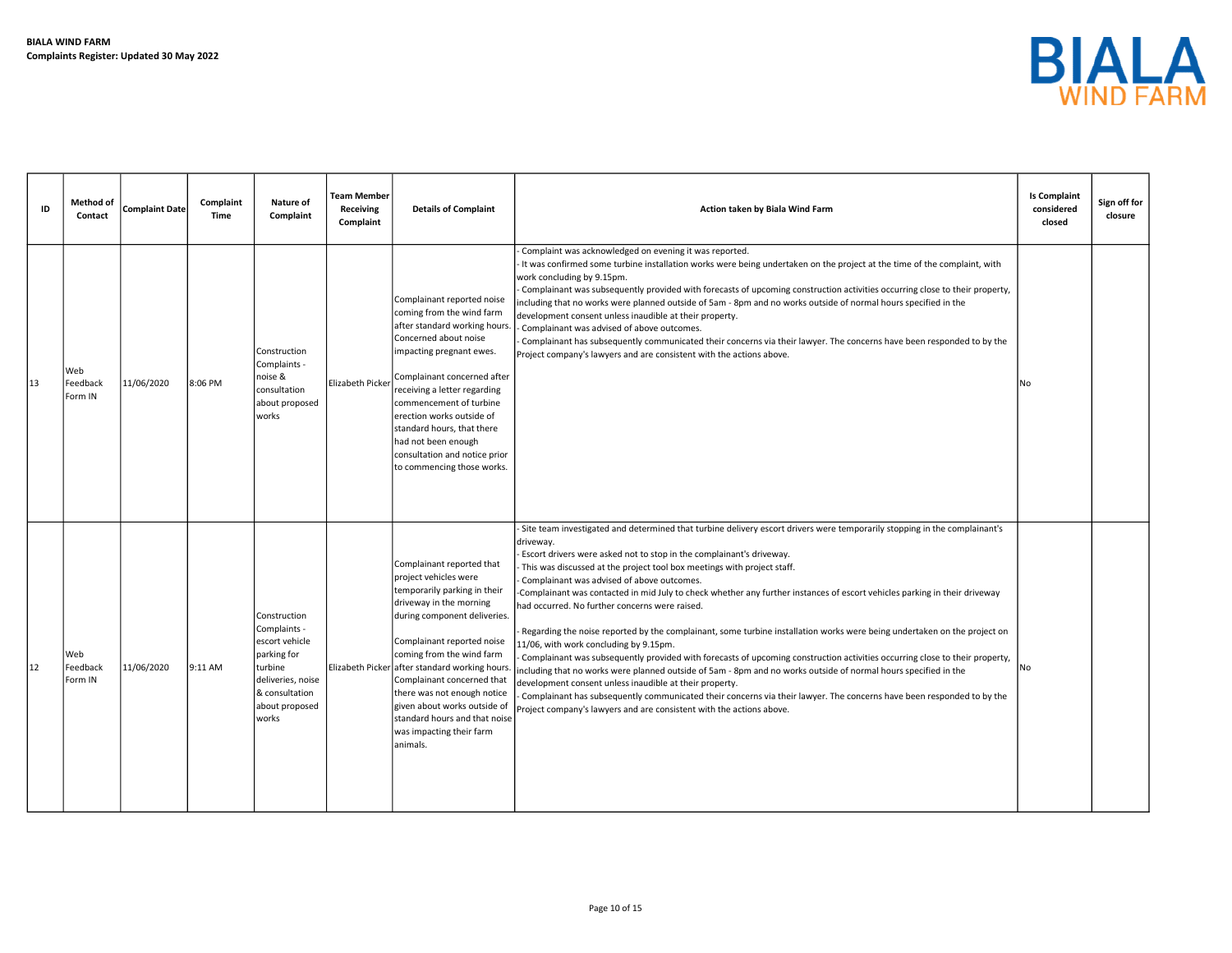

| ID | <b>Method of</b><br>Contact | Complaint Date | Complaint<br>Time | Nature of<br>Complaint                                                                                                                     | <b>Team Member</b><br>Receiving<br>Complaint | <b>Details of Complaint</b>                                                                                                                                                                                                                                                                                                                                                                                                     | Action taken by Biala Wind Farm                                                                                                                                                                                                                                                                                                                                                                                                                                                                                                                                                                                                                                                                                                                                                                                                                                                                                                                                                                                                                                                                                                                                                                           | <b>Is Complaint</b><br>considered<br>closed | Sign off for<br>closure |
|----|-----------------------------|----------------|-------------------|--------------------------------------------------------------------------------------------------------------------------------------------|----------------------------------------------|---------------------------------------------------------------------------------------------------------------------------------------------------------------------------------------------------------------------------------------------------------------------------------------------------------------------------------------------------------------------------------------------------------------------------------|-----------------------------------------------------------------------------------------------------------------------------------------------------------------------------------------------------------------------------------------------------------------------------------------------------------------------------------------------------------------------------------------------------------------------------------------------------------------------------------------------------------------------------------------------------------------------------------------------------------------------------------------------------------------------------------------------------------------------------------------------------------------------------------------------------------------------------------------------------------------------------------------------------------------------------------------------------------------------------------------------------------------------------------------------------------------------------------------------------------------------------------------------------------------------------------------------------------|---------------------------------------------|-------------------------|
| 13 | Web<br>Feedback<br>Form IN  | 11/06/2020     | 8:06 PM           | Construction<br>Complaints -<br>noise &<br>consultation<br>about proposed<br>works                                                         | Elizabeth Picker                             | Complainant reported noise<br>coming from the wind farm<br>after standard working hours.<br>Concerned about noise<br>impacting pregnant ewes.<br>Complainant concerned after<br>receiving a letter regarding<br>commencement of turbine<br>erection works outside of<br>standard hours, that there<br>had not been enough<br>consultation and notice prior<br>to commencing those works.                                        | Complaint was acknowledged on evening it was reported.<br>It was confirmed some turbine installation works were being undertaken on the project at the time of the complaint, with<br>work concluding by 9.15pm.<br>Complainant was subsequently provided with forecasts of upcoming construction activities occurring close to their property,<br>including that no works were planned outside of 5am - 8pm and no works outside of normal hours specified in the<br>development consent unless inaudible at their property.<br>Complainant was advised of above outcomes.<br>Complainant has subsequently communicated their concerns via their lawyer. The concerns have been responded to by the<br>Project company's lawyers and are consistent with the actions above.                                                                                                                                                                                                                                                                                                                                                                                                                              | No                                          |                         |
| 12 | Web<br>Feedback<br>Form IN  | 11/06/2020     | 9:11 AM           | Construction<br>Complaints -<br>escort vehicle<br>parking for<br>turbine<br>deliveries, noise<br>& consultation<br>about proposed<br>works |                                              | Complainant reported that<br>project vehicles were<br>temporarily parking in their<br>driveway in the morning<br>during component deliveries.<br>Complainant reported noise<br>coming from the wind farm<br>Elizabeth Picker after standard working hours<br>Complainant concerned that<br>there was not enough notice<br>given about works outside of<br>standard hours and that noise<br>was impacting their farm<br>animals. | Site team investigated and determined that turbine delivery escort drivers were temporarily stopping in the complainant's<br>driveway.<br>Escort drivers were asked not to stop in the complainant's driveway.<br>This was discussed at the project tool box meetings with project staff.<br>Complainant was advised of above outcomes.<br>Complainant was contacted in mid July to check whether any further instances of escort vehicles parking in their driveway<br>had occurred. No further concerns were raised.<br>Regarding the noise reported by the complainant, some turbine installation works were being undertaken on the project on<br>11/06, with work concluding by 9.15pm.<br>Complainant was subsequently provided with forecasts of upcoming construction activities occurring close to their property,<br>ncluding that no works were planned outside of 5am - 8pm and no works outside of normal hours specified in the<br>development consent unless inaudible at their property.<br>Complainant has subsequently communicated their concerns via their lawyer. The concerns have been responded to by the<br>Project company's lawyers and are consistent with the actions above. | No                                          |                         |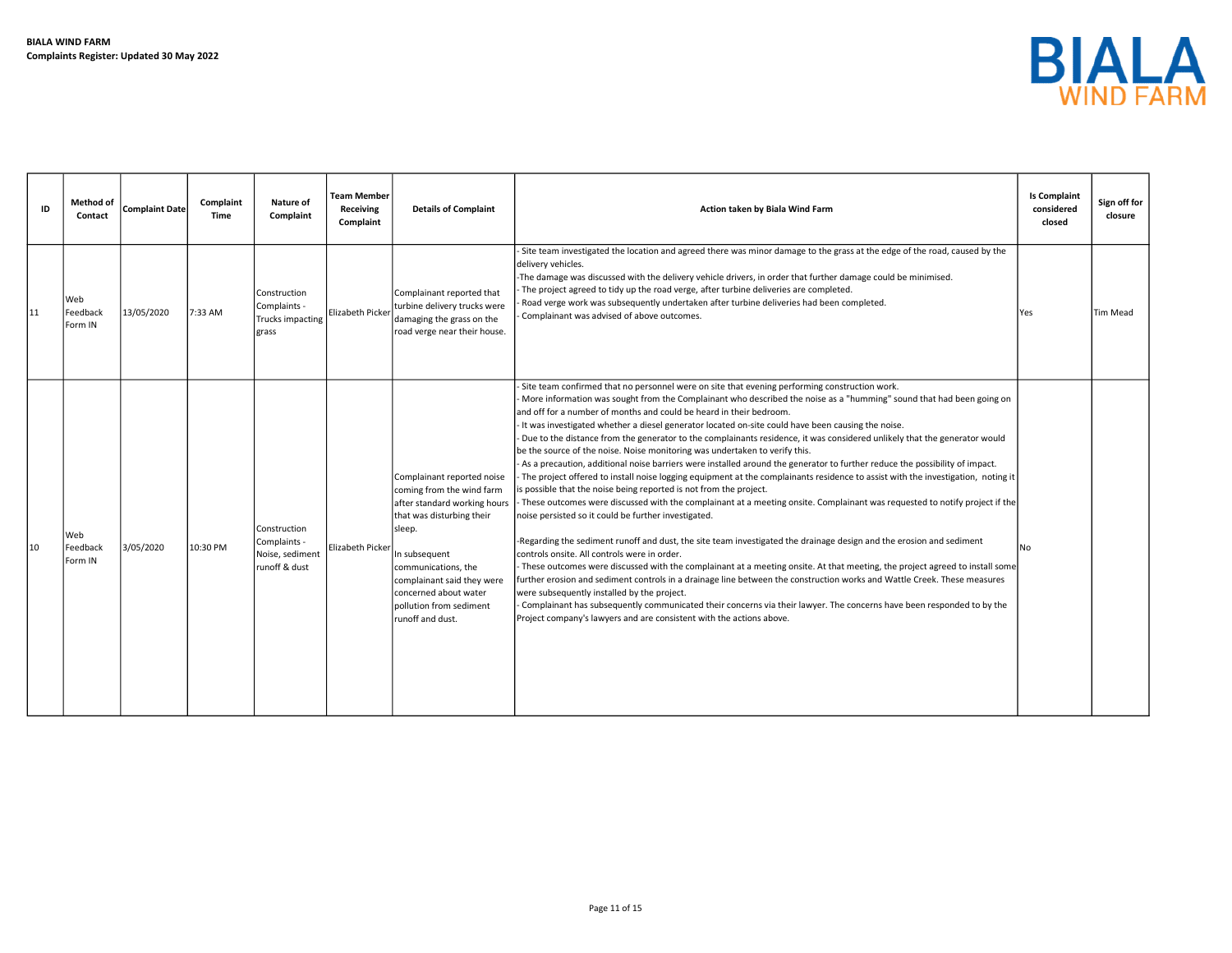

| ID | Method of<br>Contact       | <b>Complaint Date</b> | Complaint<br>Time | Nature of<br>Complaint                                           | <b>Team Member</b><br>Receiving<br>Complaint | <b>Details of Complaint</b>                                                                                                                                                                                                                                                  | Action taken by Biala Wind Farm                                                                                                                                                                                                                                                                                                                                                                                                                                                                                                                                                                                                                                                                                                                                                                                                                                                                                                                                                                                                                                                                                                                                                                                                                                                                                                                                                                                                                                                                                                                                                                                                                                                                                                                                                                                                 | <b>Is Complaint</b><br>considered<br>closed | Sign off for<br>closure |
|----|----------------------------|-----------------------|-------------------|------------------------------------------------------------------|----------------------------------------------|------------------------------------------------------------------------------------------------------------------------------------------------------------------------------------------------------------------------------------------------------------------------------|---------------------------------------------------------------------------------------------------------------------------------------------------------------------------------------------------------------------------------------------------------------------------------------------------------------------------------------------------------------------------------------------------------------------------------------------------------------------------------------------------------------------------------------------------------------------------------------------------------------------------------------------------------------------------------------------------------------------------------------------------------------------------------------------------------------------------------------------------------------------------------------------------------------------------------------------------------------------------------------------------------------------------------------------------------------------------------------------------------------------------------------------------------------------------------------------------------------------------------------------------------------------------------------------------------------------------------------------------------------------------------------------------------------------------------------------------------------------------------------------------------------------------------------------------------------------------------------------------------------------------------------------------------------------------------------------------------------------------------------------------------------------------------------------------------------------------------|---------------------------------------------|-------------------------|
| 11 | Web<br>Feedback<br>Form IN | 13/05/2020            | 7:33 AM           | Construction<br>Complaints -<br>Trucks impacting<br>grass        | Elizabeth Picker                             | Complainant reported that<br>turbine delivery trucks were<br>damaging the grass on the<br>road verge near their house.                                                                                                                                                       | Site team investigated the location and agreed there was minor damage to the grass at the edge of the road, caused by the<br>delivery vehicles.<br>-The damage was discussed with the delivery vehicle drivers, in order that further damage could be minimised.<br>The project agreed to tidy up the road verge, after turbine deliveries are completed.<br>Road verge work was subsequently undertaken after turbine deliveries had been completed.<br>Complainant was advised of above outcomes.                                                                                                                                                                                                                                                                                                                                                                                                                                                                                                                                                                                                                                                                                                                                                                                                                                                                                                                                                                                                                                                                                                                                                                                                                                                                                                                             | <b>Yes</b>                                  | Tim Mead                |
| 10 | Web<br>Feedback<br>Form IN | 3/05/2020             | 10:30 PM          | Construction<br>Complaints -<br>Noise, sediment<br>runoff & dust | Elizabeth Picker                             | Complainant reported noise<br>coming from the wind farm<br>after standard working hours<br>that was disturbing their<br>sleep.<br>In subsequent<br>communications, the<br>complainant said they were<br>concerned about water<br>pollution from sediment<br>runoff and dust. | Site team confirmed that no personnel were on site that evening performing construction work.<br>More information was sought from the Complainant who described the noise as a "humming" sound that had been going on<br>and off for a number of months and could be heard in their bedroom.<br>It was investigated whether a diesel generator located on-site could have been causing the noise.<br>Due to the distance from the generator to the complainants residence, it was considered unlikely that the generator would<br>be the source of the noise. Noise monitoring was undertaken to verify this.<br>As a precaution, additional noise barriers were installed around the generator to further reduce the possibility of impact.<br>The project offered to install noise logging equipment at the complainants residence to assist with the investigation, noting it<br>is possible that the noise being reported is not from the project.<br>These outcomes were discussed with the complainant at a meeting onsite. Complainant was requested to notify project if the<br>noise persisted so it could be further investigated.<br>-Regarding the sediment runoff and dust, the site team investigated the drainage design and the erosion and sediment<br>controls onsite. All controls were in order.<br>These outcomes were discussed with the complainant at a meeting onsite. At that meeting, the project agreed to install some<br>further erosion and sediment controls in a drainage line between the construction works and Wattle Creek. These measures<br>were subsequently installed by the project.<br>Complainant has subsequently communicated their concerns via their lawyer. The concerns have been responded to by the<br>Project company's lawyers and are consistent with the actions above. | No                                          |                         |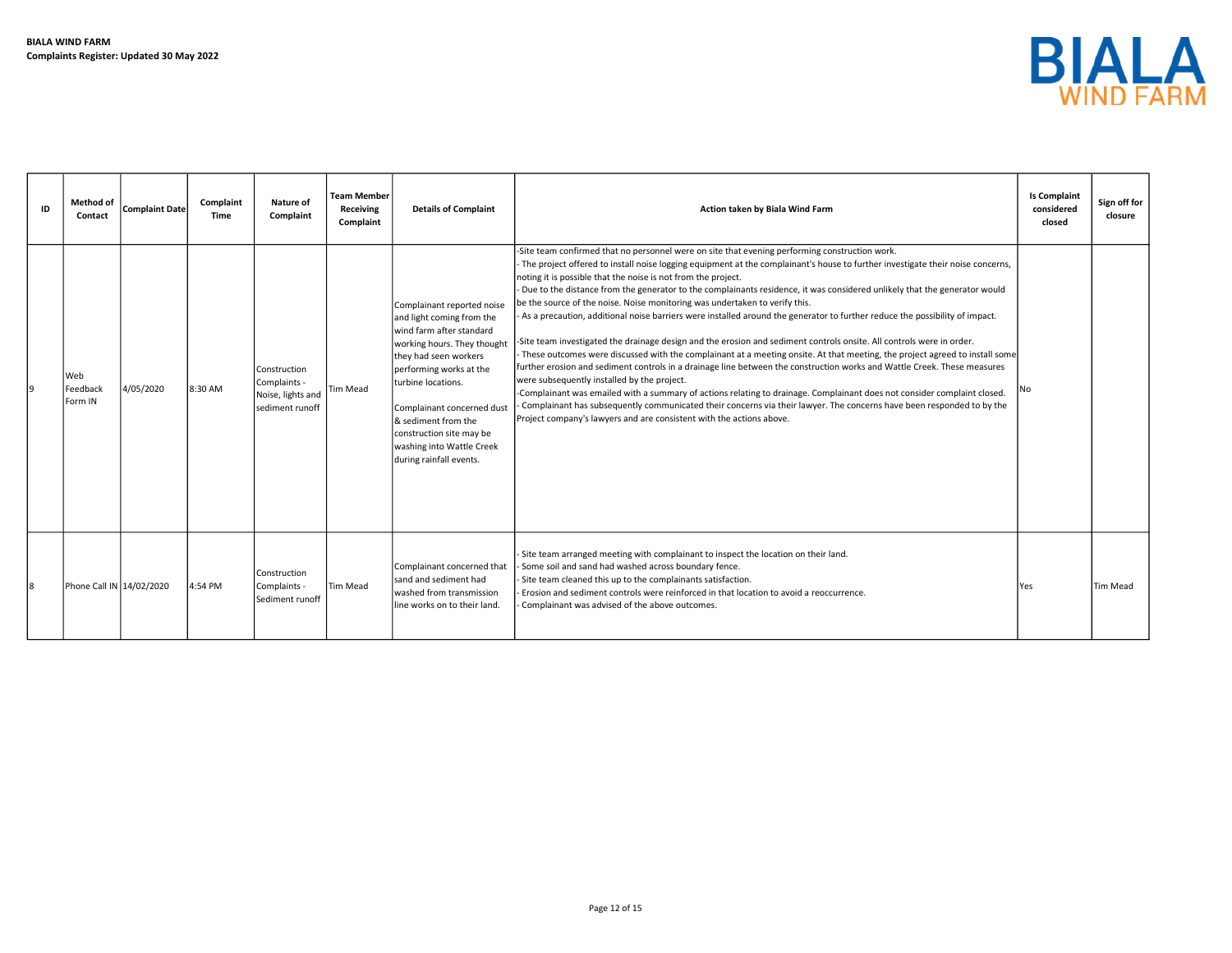

| ID | <b>Method of</b><br>Contact | <b>Complaint Date</b> | Complaint<br>Time | <b>Nature of</b><br>Complaint                                                 | Team Member<br>Receiving<br>Complaint | <b>Details of Complaint</b>                                                                                                                                                                                                                                                                                                           | Action taken by Biala Wind Farm                                                                                                                                                                                                                                                                                                                                                                                                                                                                                                                                                                                                                                                                                                                                                                                                                                                                                                                                                                                                                                                                                                                                                                                                                                                                                                                                                                              | <b>Is Complaint</b><br>considered<br>closed | Sign off for<br>closure |
|----|-----------------------------|-----------------------|-------------------|-------------------------------------------------------------------------------|---------------------------------------|---------------------------------------------------------------------------------------------------------------------------------------------------------------------------------------------------------------------------------------------------------------------------------------------------------------------------------------|--------------------------------------------------------------------------------------------------------------------------------------------------------------------------------------------------------------------------------------------------------------------------------------------------------------------------------------------------------------------------------------------------------------------------------------------------------------------------------------------------------------------------------------------------------------------------------------------------------------------------------------------------------------------------------------------------------------------------------------------------------------------------------------------------------------------------------------------------------------------------------------------------------------------------------------------------------------------------------------------------------------------------------------------------------------------------------------------------------------------------------------------------------------------------------------------------------------------------------------------------------------------------------------------------------------------------------------------------------------------------------------------------------------|---------------------------------------------|-------------------------|
|    | Web<br>Feedback<br>Form IN  | 4/05/2020             | 8:30 AM           | Construction<br>Complaints -<br>Noise, lights and Tim Mead<br>sediment runoff |                                       | Complainant reported noise<br>and light coming from the<br>wind farm after standard<br>working hours. They thought<br>they had seen workers<br>performing works at the<br>turbine locations.<br>Complainant concerned dust<br>& sediment from the<br>construction site may be<br>washing into Wattle Creek<br>during rainfall events. | -Site team confirmed that no personnel were on site that evening performing construction work.<br>The project offered to install noise logging equipment at the complainant's house to further investigate their noise concerns,<br>noting it is possible that the noise is not from the project.<br>Due to the distance from the generator to the complainants residence, it was considered unlikely that the generator would<br>be the source of the noise. Noise monitoring was undertaken to verify this.<br>As a precaution, additional noise barriers were installed around the generator to further reduce the possibility of impact.<br>-Site team investigated the drainage design and the erosion and sediment controls onsite. All controls were in order.<br>These outcomes were discussed with the complainant at a meeting onsite. At that meeting, the project agreed to install some<br>further erosion and sediment controls in a drainage line between the construction works and Wattle Creek. These measures<br>were subsequently installed by the project.<br>-Complainant was emailed with a summary of actions relating to drainage. Complainant does not consider complaint closed.<br>Complainant has subsequently communicated their concerns via their lawyer. The concerns have been responded to by the<br>Project company's lawyers and are consistent with the actions above. | No.                                         |                         |
|    | Phone Call IN 14/02/2020    |                       | 4:54 PM           | Construction<br>Complaints -<br>Sediment runoff                               | Tim Mead                              | Complainant concerned that<br>sand and sediment had<br>washed from transmission<br>line works on to their land.                                                                                                                                                                                                                       | - Site team arranged meeting with complainant to inspect the location on their land.<br>Some soil and sand had washed across boundary fence.<br>- Site team cleaned this up to the complainants satisfaction.<br>- Erosion and sediment controls were reinforced in that location to avoid a reoccurrence.<br>Complainant was advised of the above outcomes.                                                                                                                                                                                                                                                                                                                                                                                                                                                                                                                                                                                                                                                                                                                                                                                                                                                                                                                                                                                                                                                 | <b>Yes</b>                                  | <b>Tim Mead</b>         |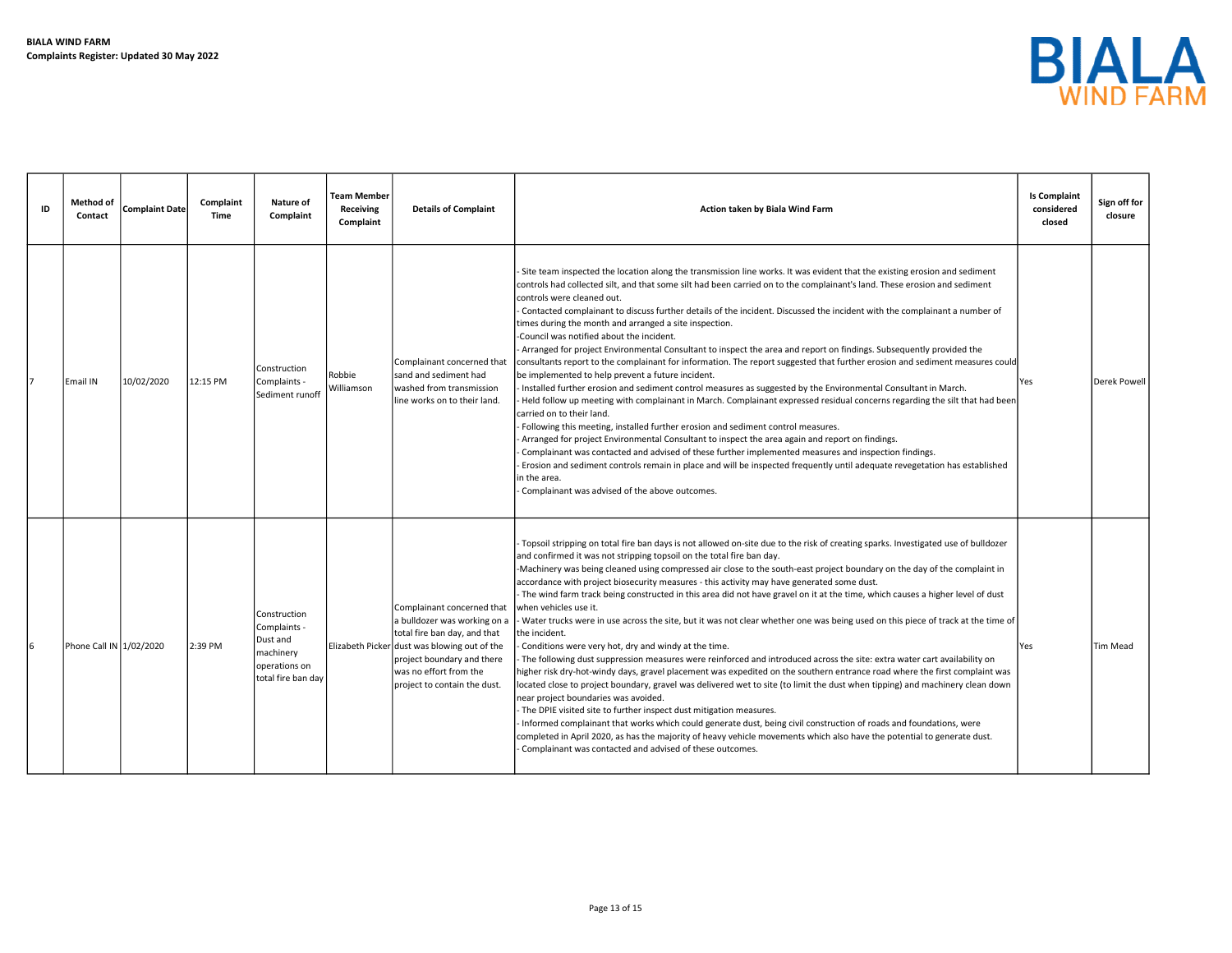

| ID | Method of<br>Contact    | <b>Complaint Date</b> | Complaint<br>Time | Nature of<br>Complaint                                                                       | <b>Team Member</b><br>Receiving<br>Complaint | <b>Details of Complaint</b>                                                                                                                                                                                                        | Action taken by Biala Wind Farm                                                                                                                                                                                                                                                                                                                                                                                                                                                                                                                                                                                                                                                                                                                                                                                                                                                                                                                                                                                                                                                                                                                                                                                                                                                                                                                                                                                                                                                                                                                                                                                                  | <b>Is Complaint</b><br>considered<br>closed | Sign off for<br>closure |
|----|-------------------------|-----------------------|-------------------|----------------------------------------------------------------------------------------------|----------------------------------------------|------------------------------------------------------------------------------------------------------------------------------------------------------------------------------------------------------------------------------------|----------------------------------------------------------------------------------------------------------------------------------------------------------------------------------------------------------------------------------------------------------------------------------------------------------------------------------------------------------------------------------------------------------------------------------------------------------------------------------------------------------------------------------------------------------------------------------------------------------------------------------------------------------------------------------------------------------------------------------------------------------------------------------------------------------------------------------------------------------------------------------------------------------------------------------------------------------------------------------------------------------------------------------------------------------------------------------------------------------------------------------------------------------------------------------------------------------------------------------------------------------------------------------------------------------------------------------------------------------------------------------------------------------------------------------------------------------------------------------------------------------------------------------------------------------------------------------------------------------------------------------|---------------------------------------------|-------------------------|
|    | Email IN                | 10/02/2020            | 12:15 PM          | Construction<br>Complaints -<br>Sediment runoff                                              | Robbie<br>Williamson                         | Complainant concerned that<br>sand and sediment had<br>washed from transmission<br>lline works on to their land.                                                                                                                   | Site team inspected the location along the transmission line works. It was evident that the existing erosion and sediment<br>controls had collected silt, and that some silt had been carried on to the complainant's land. These erosion and sediment<br>controls were cleaned out.<br>Contacted complainant to discuss further details of the incident. Discussed the incident with the complainant a number of<br>times during the month and arranged a site inspection.<br>Council was notified about the incident.<br>Arranged for project Environmental Consultant to inspect the area and report on findings. Subsequently provided the<br>consultants report to the complainant for information. The report suggested that further erosion and sediment measures could<br>be implemented to help prevent a future incident.<br>Installed further erosion and sediment control measures as suggested by the Environmental Consultant in March.<br>Held follow up meeting with complainant in March. Complainant expressed residual concerns regarding the silt that had been<br>carried on to their land.<br>Following this meeting, installed further erosion and sediment control measures.<br>Arranged for project Environmental Consultant to inspect the area again and report on findings.<br>Complainant was contacted and advised of these further implemented measures and inspection findings.<br>Erosion and sediment controls remain in place and will be inspected frequently until adequate revegetation has established<br>n the area.<br>Complainant was advised of the above outcomes.                   | l Yes                                       | Derek Powell            |
|    | Phone Call IN 1/02/2020 |                       | 2:39 PM           | Construction<br>Complaints -<br>Dust and<br>machinery<br>operations on<br>total fire ban day |                                              | Complainant concerned that<br>a bulldozer was working on a<br>total fire ban day, and that<br>Elizabeth Picker dust was blowing out of the<br>project boundary and there<br>was no effort from the<br>project to contain the dust. | Topsoil stripping on total fire ban days is not allowed on-site due to the risk of creating sparks. Investigated use of bulldozer<br>and confirmed it was not stripping topsoil on the total fire ban day.<br>Machinery was being cleaned using compressed air close to the south-east project boundary on the day of the complaint in<br>accordance with project biosecurity measures - this activity may have generated some dust.<br>The wind farm track being constructed in this area did not have gravel on it at the time, which causes a higher level of dust<br>when vehicles use it.<br>Water trucks were in use across the site, but it was not clear whether one was being used on this piece of track at the time of<br>the incident.<br>Conditions were very hot, dry and windy at the time.<br>The following dust suppression measures were reinforced and introduced across the site: extra water cart availability on<br>higher risk dry-hot-windy days, gravel placement was expedited on the southern entrance road where the first complaint was<br>located close to project boundary, gravel was delivered wet to site (to limit the dust when tipping) and machinery clean down<br>near project boundaries was avoided.<br>The DPIE visited site to further inspect dust mitigation measures.<br>Informed complainant that works which could generate dust, being civil construction of roads and foundations, were<br>completed in April 2020, as has the majority of heavy vehicle movements which also have the potential to generate dust.<br>Complainant was contacted and advised of these outcomes. | <b>Yes</b>                                  | <b>Tim Mead</b>         |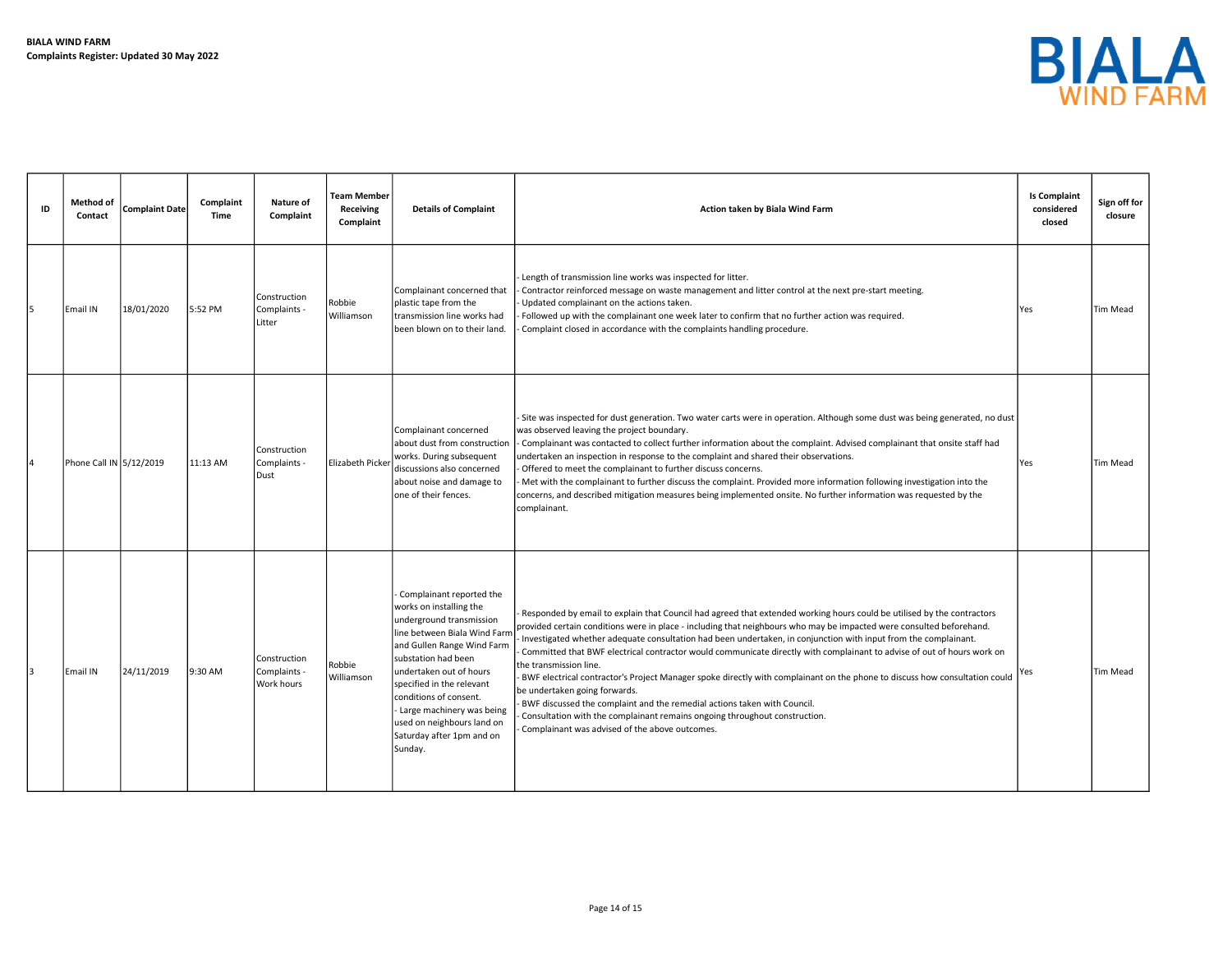

| ID | Method of<br>Contact    | <b>Complaint Date</b> | Complaint<br>Time | Nature of<br>Complaint                     | <b>Team Member</b><br>Receiving<br>Complaint | <b>Details of Complaint</b>                                                                                                                                                                                                                                                                                                                                 | Action taken by Biala Wind Farm                                                                                                                                                                                                                                                                                                                                                                                                                                                                                                                                                                                                                                                                                                                                                                                                                                                                  | <b>Is Complaint</b><br>considered<br>closed | Sign off for<br>closure |
|----|-------------------------|-----------------------|-------------------|--------------------------------------------|----------------------------------------------|-------------------------------------------------------------------------------------------------------------------------------------------------------------------------------------------------------------------------------------------------------------------------------------------------------------------------------------------------------------|--------------------------------------------------------------------------------------------------------------------------------------------------------------------------------------------------------------------------------------------------------------------------------------------------------------------------------------------------------------------------------------------------------------------------------------------------------------------------------------------------------------------------------------------------------------------------------------------------------------------------------------------------------------------------------------------------------------------------------------------------------------------------------------------------------------------------------------------------------------------------------------------------|---------------------------------------------|-------------------------|
| 5  | Email IN                | 18/01/2020            | 5:52 PM           | Construction<br>Complaints -<br>Litter     | Robbie<br>Williamson                         | Complainant concerned that<br>plastic tape from the<br>transmission line works had<br>been blown on to their land.                                                                                                                                                                                                                                          | Length of transmission line works was inspected for litter.<br>Contractor reinforced message on waste management and litter control at the next pre-start meeting.<br>Updated complainant on the actions taken.<br>Followed up with the complainant one week later to confirm that no further action was required.<br>Complaint closed in accordance with the complaints handling procedure.                                                                                                                                                                                                                                                                                                                                                                                                                                                                                                     | Yes                                         | Tim Mead                |
|    | Phone Call IN 5/12/2019 |                       | 11:13 AM          | Construction<br>Complaints -<br>Dust       | Elizabeth Picker                             | Complainant concerned<br>about dust from construction<br>works. During subsequent<br>discussions also concerned<br>about noise and damage to<br>one of their fences.                                                                                                                                                                                        | Site was inspected for dust generation. Two water carts were in operation. Although some dust was being generated, no dust<br>was observed leaving the project boundary.<br>Complainant was contacted to collect further information about the complaint. Advised complainant that onsite staff had<br>undertaken an inspection in response to the complaint and shared their observations.<br>Offered to meet the complainant to further discuss concerns.<br>Met with the complainant to further discuss the complaint. Provided more information following investigation into the<br>concerns, and described mitigation measures being implemented onsite. No further information was requested by the<br>complainant.                                                                                                                                                                        | Yes                                         | Tim Mead                |
|    | lEmail IN               | 24/11/2019            | 9:30 AM           | Construction<br>Complaints -<br>Work hours | Robbie<br>Williamson                         | Complainant reported the<br>works on installing the<br>underground transmission<br>line between Biala Wind Farn<br>and Gullen Range Wind Farm<br>substation had been<br>undertaken out of hours<br>specified in the relevant<br>conditions of consent.<br>- Large machinery was being<br>used on neighbours land on<br>Saturday after 1pm and on<br>Sunday. | Responded by email to explain that Council had agreed that extended working hours could be utilised by the contractors<br>provided certain conditions were in place - including that neighbours who may be impacted were consulted beforehand.<br>Investigated whether adequate consultation had been undertaken, in conjunction with input from the complainant.<br>Committed that BWF electrical contractor would communicate directly with complainant to advise of out of hours work on<br>the transmission line.<br>BWF electrical contractor's Project Manager spoke directly with complainant on the phone to discuss how consultation could<br>be undertaken going forwards.<br>BWF discussed the complaint and the remedial actions taken with Council.<br>Consultation with the complainant remains ongoing throughout construction.<br>Complainant was advised of the above outcomes. | Yes                                         | <b>Tim Mead</b>         |